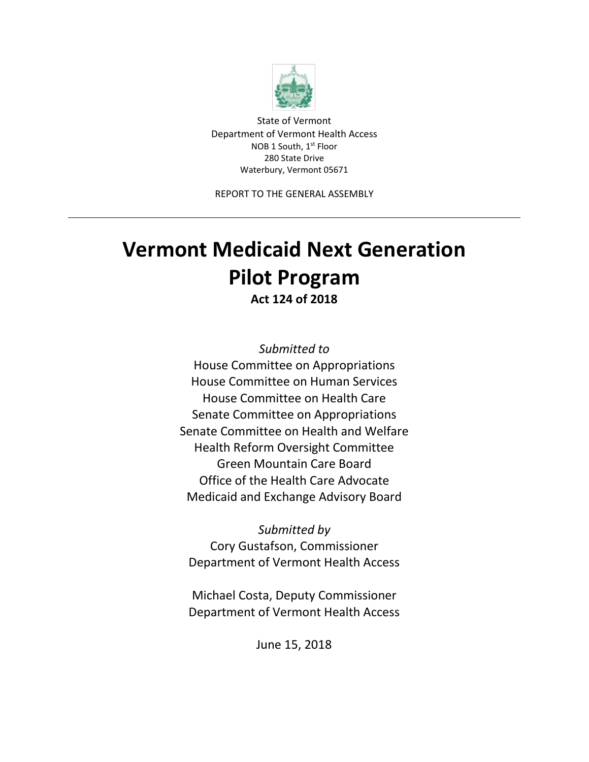

State of Vermont Department of Vermont Health Access NOB 1 South, 1<sup>st</sup> Floor 280 State Drive Waterbury, Vermont 05671

REPORT TO THE GENERAL ASSEMBLY

# **Vermont Medicaid Next Generation Pilot Program**

**Act 124 of 2018**

*Submitted to* House Committee on Appropriations House Committee on Human Services House Committee on Health Care Senate Committee on Appropriations Senate Committee on Health and Welfare Health Reform Oversight Committee Green Mountain Care Board Office of the Health Care Advocate Medicaid and Exchange Advisory Board

*Submitted by* Cory Gustafson, Commissioner Department of Vermont Health Access

Michael Costa, Deputy Commissioner Department of Vermont Health Access

June 15, 2018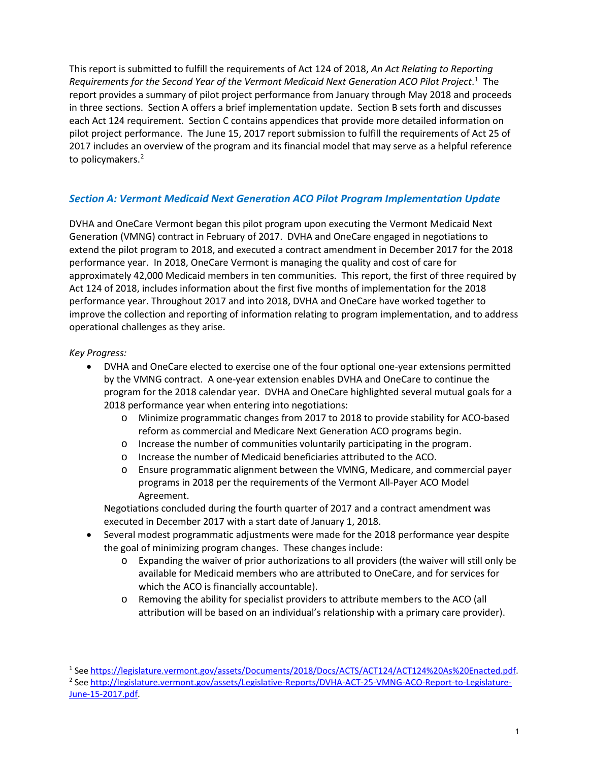This report is submitted to fulfill the requirements of Act 124 of 2018, *An Act Relating to Reporting*  Requirements for the Second Year of the Vermont Medicaid Next Generation ACO Pilot Project.<sup>[1](#page-1-0)</sup> The report provides a summary of pilot project performance from January through May 2018 and proceeds in three sections. Section A offers a brief implementation update. Section B sets forth and discusses each Act 124 requirement. Section C contains appendices that provide more detailed information on pilot project performance. The June 15, 2017 report submission to fulfill the requirements of Act 25 of 2017 includes an overview of the program and its financial model that may serve as a helpful reference to policymakers. [2](#page-1-1)

## *Section A: Vermont Medicaid Next Generation ACO Pilot Program Implementation Update*

DVHA and OneCare Vermont began this pilot program upon executing the Vermont Medicaid Next Generation (VMNG) contract in February of 2017. DVHA and OneCare engaged in negotiations to extend the pilot program to 2018, and executed a contract amendment in December 2017 for the 2018 performance year. In 2018, OneCare Vermont is managing the quality and cost of care for approximately 42,000 Medicaid members in ten communities. This report, the first of three required by Act 124 of 2018, includes information about the first five months of implementation for the 2018 performance year. Throughout 2017 and into 2018, DVHA and OneCare have worked together to improve the collection and reporting of information relating to program implementation, and to address operational challenges as they arise.

## *Key Progress:*

- DVHA and OneCare elected to exercise one of the four optional one-year extensions permitted by the VMNG contract. A one-year extension enables DVHA and OneCare to continue the program for the 2018 calendar year. DVHA and OneCare highlighted several mutual goals for a 2018 performance year when entering into negotiations:
	- o Minimize programmatic changes from 2017 to 2018 to provide stability for ACO-based reform as commercial and Medicare Next Generation ACO programs begin.
	- o Increase the number of communities voluntarily participating in the program.
	- o Increase the number of Medicaid beneficiaries attributed to the ACO.
	- o Ensure programmatic alignment between the VMNG, Medicare, and commercial payer programs in 2018 per the requirements of the Vermont All-Payer ACO Model Agreement.

Negotiations concluded during the fourth quarter of 2017 and a contract amendment was executed in December 2017 with a start date of January 1, 2018.

- Several modest programmatic adjustments were made for the 2018 performance year despite the goal of minimizing program changes. These changes include:
	- o Expanding the waiver of prior authorizations to all providers (the waiver will still only be available for Medicaid members who are attributed to OneCare, and for services for which the ACO is financially accountable).
	- o Removing the ability for specialist providers to attribute members to the ACO (all attribution will be based on an individual's relationship with a primary care provider).

<span id="page-1-1"></span><span id="page-1-0"></span><sup>&</sup>lt;sup>1</sup> See [https://legislature.vermont.gov/assets/Documents/2018/Docs/ACTS/ACT124/ACT124%20As%20Enacted.pdf.](https://legislature.vermont.gov/assets/Documents/2018/Docs/ACTS/ACT124/ACT124%20As%20Enacted.pdf) <sup>2</sup> See [http://legislature.vermont.gov/assets/Legislative-Reports/DVHA-ACT-25-VMNG-ACO-Report-to-Legislature-](http://legislature.vermont.gov/assets/Legislative-Reports/DVHA-ACT-25-VMNG-ACO-Report-to-Legislature-June-15-2017.pdf)[June-15-2017.pdf.](http://legislature.vermont.gov/assets/Legislative-Reports/DVHA-ACT-25-VMNG-ACO-Report-to-Legislature-June-15-2017.pdf)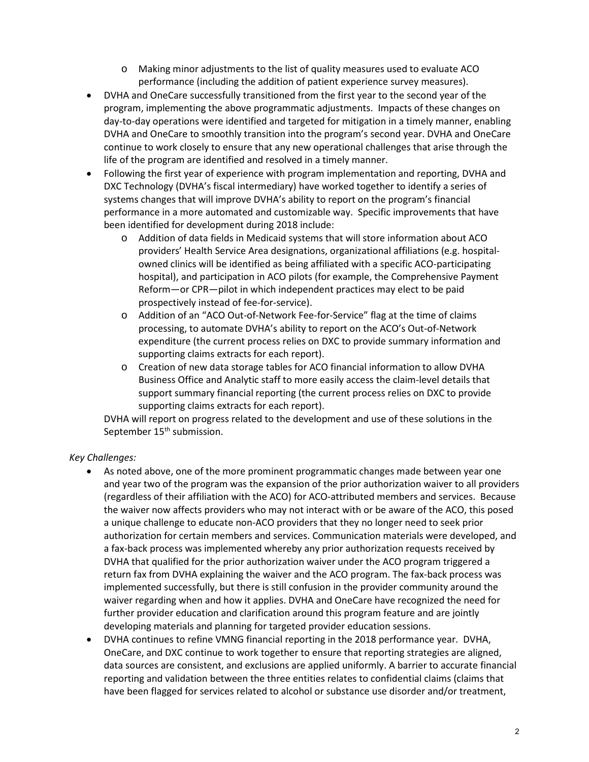- o Making minor adjustments to the list of quality measures used to evaluate ACO performance (including the addition of patient experience survey measures).
- DVHA and OneCare successfully transitioned from the first year to the second year of the program, implementing the above programmatic adjustments. Impacts of these changes on day-to-day operations were identified and targeted for mitigation in a timely manner, enabling DVHA and OneCare to smoothly transition into the program's second year. DVHA and OneCare continue to work closely to ensure that any new operational challenges that arise through the life of the program are identified and resolved in a timely manner.
- Following the first year of experience with program implementation and reporting, DVHA and DXC Technology (DVHA's fiscal intermediary) have worked together to identify a series of systems changes that will improve DVHA's ability to report on the program's financial performance in a more automated and customizable way. Specific improvements that have been identified for development during 2018 include:
	- o Addition of data fields in Medicaid systems that will store information about ACO providers' Health Service Area designations, organizational affiliations (e.g. hospitalowned clinics will be identified as being affiliated with a specific ACO-participating hospital), and participation in ACO pilots (for example, the Comprehensive Payment Reform—or CPR—pilot in which independent practices may elect to be paid prospectively instead of fee-for-service).
	- o Addition of an "ACO Out-of-Network Fee-for-Service" flag at the time of claims processing, to automate DVHA's ability to report on the ACO's Out-of-Network expenditure (the current process relies on DXC to provide summary information and supporting claims extracts for each report).
	- o Creation of new data storage tables for ACO financial information to allow DVHA Business Office and Analytic staff to more easily access the claim-level details that support summary financial reporting (the current process relies on DXC to provide supporting claims extracts for each report).

DVHA will report on progress related to the development and use of these solutions in the September 15<sup>th</sup> submission.

## *Key Challenges:*

- As noted above, one of the more prominent programmatic changes made between year one and year two of the program was the expansion of the prior authorization waiver to all providers (regardless of their affiliation with the ACO) for ACO-attributed members and services. Because the waiver now affects providers who may not interact with or be aware of the ACO, this posed a unique challenge to educate non-ACO providers that they no longer need to seek prior authorization for certain members and services. Communication materials were developed, and a fax-back process was implemented whereby any prior authorization requests received by DVHA that qualified for the prior authorization waiver under the ACO program triggered a return fax from DVHA explaining the waiver and the ACO program. The fax-back process was implemented successfully, but there is still confusion in the provider community around the waiver regarding when and how it applies. DVHA and OneCare have recognized the need for further provider education and clarification around this program feature and are jointly developing materials and planning for targeted provider education sessions.
- DVHA continues to refine VMNG financial reporting in the 2018 performance year. DVHA, OneCare, and DXC continue to work together to ensure that reporting strategies are aligned, data sources are consistent, and exclusions are applied uniformly. A barrier to accurate financial reporting and validation between the three entities relates to confidential claims (claims that have been flagged for services related to alcohol or substance use disorder and/or treatment,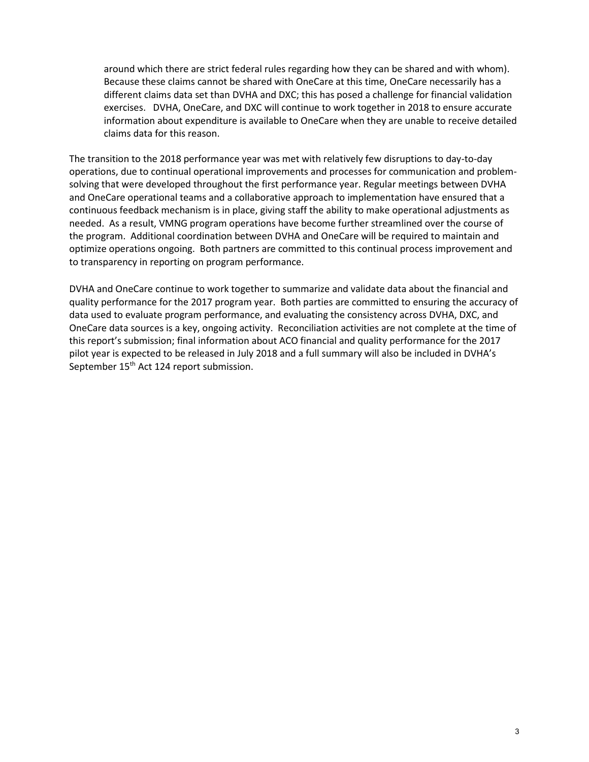around which there are strict federal rules regarding how they can be shared and with whom). Because these claims cannot be shared with OneCare at this time, OneCare necessarily has a different claims data set than DVHA and DXC; this has posed a challenge for financial validation exercises. DVHA, OneCare, and DXC will continue to work together in 2018 to ensure accurate information about expenditure is available to OneCare when they are unable to receive detailed claims data for this reason.

The transition to the 2018 performance year was met with relatively few disruptions to day-to-day operations, due to continual operational improvements and processes for communication and problemsolving that were developed throughout the first performance year. Regular meetings between DVHA and OneCare operational teams and a collaborative approach to implementation have ensured that a continuous feedback mechanism is in place, giving staff the ability to make operational adjustments as needed. As a result, VMNG program operations have become further streamlined over the course of the program. Additional coordination between DVHA and OneCare will be required to maintain and optimize operations ongoing. Both partners are committed to this continual process improvement and to transparency in reporting on program performance.

DVHA and OneCare continue to work together to summarize and validate data about the financial and quality performance for the 2017 program year. Both parties are committed to ensuring the accuracy of data used to evaluate program performance, and evaluating the consistency across DVHA, DXC, and OneCare data sources is a key, ongoing activity. Reconciliation activities are not complete at the time of this report's submission; final information about ACO financial and quality performance for the 2017 pilot year is expected to be released in July 2018 and a full summary will also be included in DVHA's September 15<sup>th</sup> Act 124 report submission.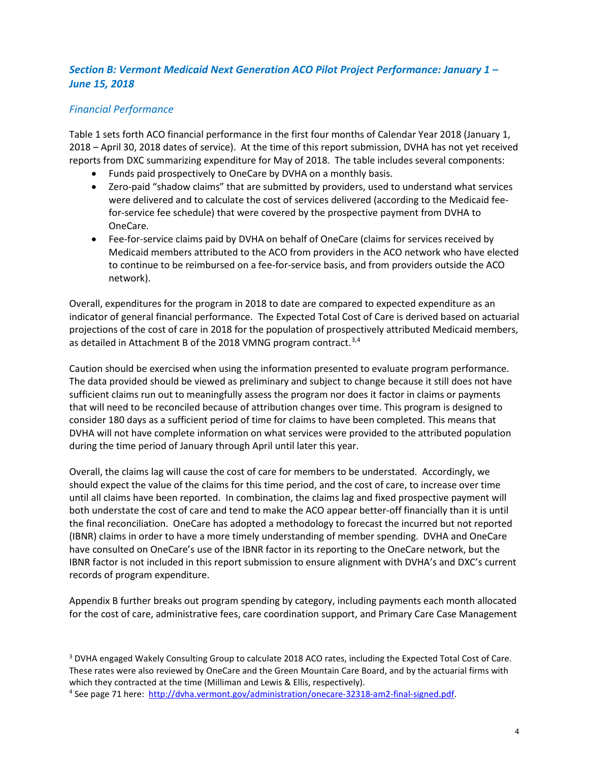## *Section B: Vermont Medicaid Next Generation ACO Pilot Project Performance: January 1 – June 15, 2018*

## *Financial Performance*

Table 1 sets forth ACO financial performance in the first four months of Calendar Year 2018 (January 1, 2018 – April 30, 2018 dates of service). At the time of this report submission, DVHA has not yet received reports from DXC summarizing expenditure for May of 2018. The table includes several components:

- Funds paid prospectively to OneCare by DVHA on a monthly basis.
- Zero-paid "shadow claims" that are submitted by providers, used to understand what services were delivered and to calculate the cost of services delivered (according to the Medicaid feefor-service fee schedule) that were covered by the prospective payment from DVHA to OneCare.
- Fee-for-service claims paid by DVHA on behalf of OneCare (claims for services received by Medicaid members attributed to the ACO from providers in the ACO network who have elected to continue to be reimbursed on a fee-for-service basis, and from providers outside the ACO network).

Overall, expenditures for the program in 2018 to date are compared to expected expenditure as an indicator of general financial performance. The Expected Total Cost of Care is derived based on actuarial projections of the cost of care in 2018 for the population of prospectively attributed Medicaid members, as detailed in Attachment B of the 2018 VMNG program contract.<sup>[3](#page-4-0),[4](#page-4-1)</sup>

Caution should be exercised when using the information presented to evaluate program performance. The data provided should be viewed as preliminary and subject to change because it still does not have sufficient claims run out to meaningfully assess the program nor does it factor in claims or payments that will need to be reconciled because of attribution changes over time. This program is designed to consider 180 days as a sufficient period of time for claims to have been completed. This means that DVHA will not have complete information on what services were provided to the attributed population during the time period of January through April until later this year.

Overall, the claims lag will cause the cost of care for members to be understated. Accordingly, we should expect the value of the claims for this time period, and the cost of care, to increase over time until all claims have been reported. In combination, the claims lag and fixed prospective payment will both understate the cost of care and tend to make the ACO appear better-off financially than it is until the final reconciliation. OneCare has adopted a methodology to forecast the incurred but not reported (IBNR) claims in order to have a more timely understanding of member spending. DVHA and OneCare have consulted on OneCare's use of the IBNR factor in its reporting to the OneCare network, but the IBNR factor is not included in this report submission to ensure alignment with DVHA's and DXC's current records of program expenditure.

Appendix B further breaks out program spending by category, including payments each month allocated for the cost of care, administrative fees, care coordination support, and Primary Care Case Management

<span id="page-4-0"></span><sup>&</sup>lt;sup>3</sup> DVHA engaged Wakely Consulting Group to calculate 2018 ACO rates, including the Expected Total Cost of Care. These rates were also reviewed by OneCare and the Green Mountain Care Board, and by the actuarial firms with which they contracted at the time (Milliman and Lewis & Ellis, respectively).

<span id="page-4-1"></span><sup>4</sup> See page 71 here: [http://dvha.vermont.gov/administration/onecare-32318-am2-final-signed.pdf.](http://dvha.vermont.gov/administration/onecare-32318-am2-final-signed.pdf)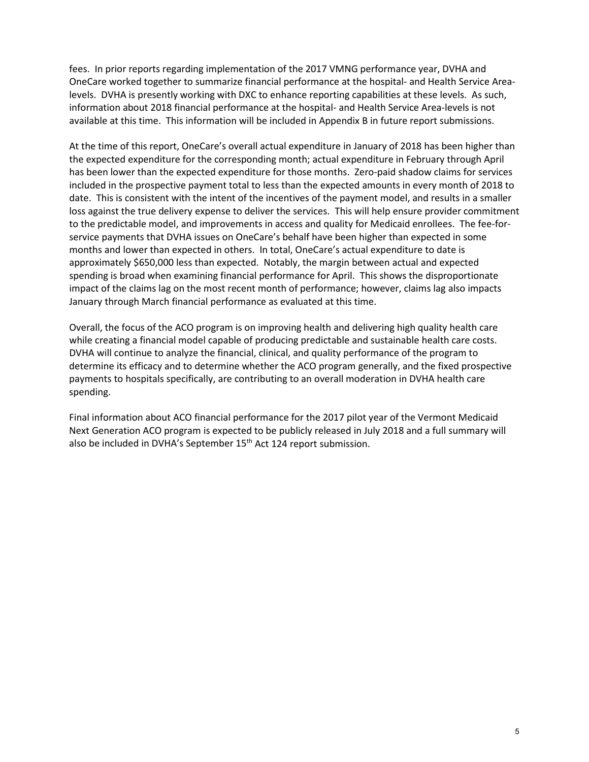fees. In prior reports regarding implementation of the 2017 VMNG performance year, DVHA and OneCare worked together to summarize financial performance at the hospital- and Health Service Arealevels. DVHA is presently working with DXC to enhance reporting capabilities at these levels. As such, information about 2018 financial performance at the hospital- and Health Service Area-levels is not available at this time. This information will be included in Appendix B in future report submissions.

At the time of this report, OneCare's overall actual expenditure in January of 2018 has been higher than the expected expenditure for the corresponding month; actual expenditure in February through April has been lower than the expected expenditure for those months. Zero-paid shadow claims for services included in the prospective payment total to less than the expected amounts in every month of 2018 to date. This is consistent with the intent of the incentives of the payment model, and results in a smaller loss against the true delivery expense to deliver the services. This will help ensure provider commitment to the predictable model, and improvements in access and quality for Medicaid enrollees. The fee-forservice payments that DVHA issues on OneCare's behalf have been higher than expected in some months and lower than expected in others. In total, OneCare's actual expenditure to date is approximately \$650,000 less than expected. Notably, the margin between actual and expected spending is broad when examining financial performance for April. This shows the disproportionate impact of the claims lag on the most recent month of performance; however, claims lag also impacts January through March financial performance as evaluated at this time.

Overall, the focus of the ACO program is on improving health and delivering high quality health care while creating a financial model capable of producing predictable and sustainable health care costs. DVHA will continue to analyze the financial, clinical, and quality performance of the program to determine its efficacy and to determine whether the ACO program generally, and the fixed prospective payments to hospitals specifically, are contributing to an overall moderation in DVHA health care spending.

Final information about ACO financial performance for the 2017 pilot year of the Vermont Medicaid Next Generation ACO program is expected to be publicly released in July 2018 and a full summary will also be included in DVHA's September 15<sup>th</sup> Act 124 report submission.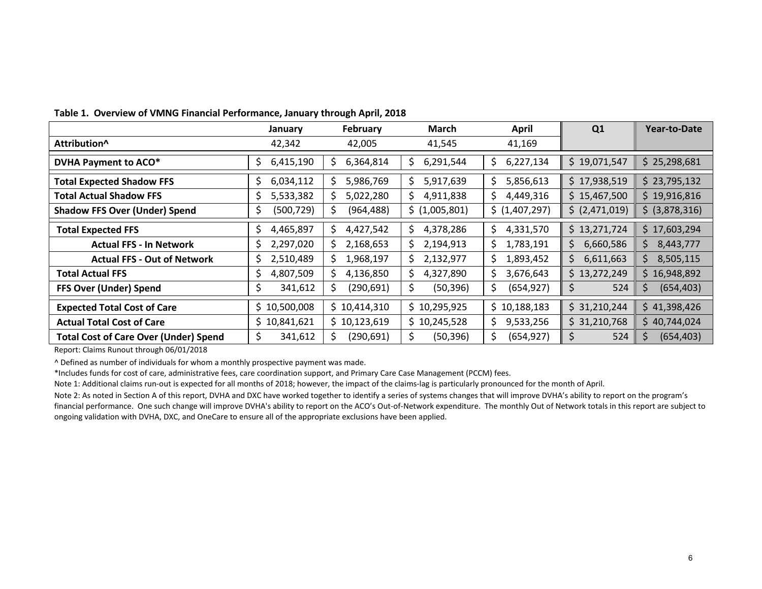|                                              | January         | February         | <b>March</b>    | <b>April</b>     | Q <sub>1</sub>   | <b>Year-to-Date</b> |
|----------------------------------------------|-----------------|------------------|-----------------|------------------|------------------|---------------------|
| Attribution <sup>^</sup>                     | 42,342          | 42,005           | 41,545          | 41,169           |                  |                     |
| DVHA Payment to ACO*                         | 6,415,190<br>Ş  | 6,364,814<br>\$. | 6,291,544<br>S. | \$<br>6,227,134  | \$19,071,547     | \$25,298,681        |
| <b>Total Expected Shadow FFS</b>             | 6,034,112<br>S  | 5,986,769<br>S   | 5,917,639<br>S. | \$<br>5,856,613  | \$17,938,519     | \$23,795,132        |
| <b>Total Actual Shadow FFS</b>               | 5,533,382<br>S  | 5,022,280<br>S.  | 4,911,838<br>S. | \$.<br>4,449,316 | \$15,467,500     | \$19,916,816        |
| <b>Shadow FFS Over (Under) Spend</b>         | (500, 729)<br>S | (964, 488)<br>S  | \$(1,005,801)   | \$ (1,407,297)   | \$ (2,471,019)   | \$ (3,878,316)      |
| <b>Total Expected FFS</b>                    | 4,465,897<br>\$ | 4,427,542<br>\$. | 4,378,286<br>S  | \$<br>4,331,570  | \$13,271,724     | \$17,603,294        |
| <b>Actual FFS - In Network</b>               | 2,297,020<br>\$ | 2,168,653<br>S.  | 2,194,913<br>S. | \$.<br>1,783,191 | 6,660,586<br>\$. | \$<br>8,443,777     |
| <b>Actual FFS - Out of Network</b>           | 2,510,489<br>\$ | 1,968,197<br>S.  | 2,132,977<br>S. | 1,893,452<br>\$. | 6,611,663<br>S.  | \$<br>8,505,115     |
| <b>Total Actual FFS</b>                      | 4,807,509<br>S  | 4,136,850<br>S.  | 4,327,890<br>S. | \$.<br>3,676,643 | \$13,272,249     | \$16,948,892        |
| FFS Over (Under) Spend                       | 341,612<br>S    | (290, 691)<br>S  | (50, 396)<br>S  | \$<br>(654, 927) | 524<br>S.        | \$<br>(654, 403)    |
| <b>Expected Total Cost of Care</b>           | \$10,500,008    | \$10,414,310     | \$10,295,925    | \$10,188,183     | \$31,210,244     | \$41,398,426        |
| <b>Actual Total Cost of Care</b>             | \$10,841,621    | \$10,123,619     | \$10,245,528    | \$.<br>9,533,256 | \$31,210,768     | \$40,744,024        |
| <b>Total Cost of Care Over (Under) Spend</b> | 341,612<br>\$   | (290, 691)       | (50, 396)       | \$<br>(654, 927) | 524<br>Ş.        | \$<br>(654, 403)    |

**Table 1. Overview of VMNG Financial Performance, January through April, 2018**

Report: Claims Runout through 06/01/2018

^ Defined as number of individuals for whom a monthly prospective payment was made.

\*Includes funds for cost of care, administrative fees, care coordination support, and Primary Care Case Management (PCCM) fees.

Note 1: Additional claims run-out is expected for all months of 2018; however, the impact of the claims-lag is particularly pronounced for the month of April.

Note 2: As noted in Section A of this report, DVHA and DXC have worked together to identify a series of systems changes that will improve DVHA's ability to report on the program's financial performance. One such change will improve DVHA's ability to report on the ACO's Out-of-Network expenditure. The monthly Out of Network totals in this report are subject to ongoing validation with DVHA, DXC, and OneCare to ensure all of the appropriate exclusions have been applied.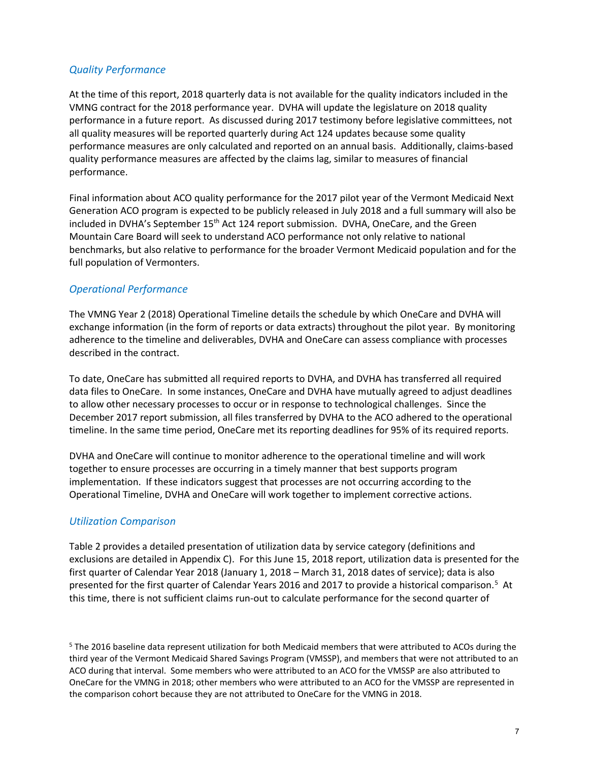## *Quality Performance*

At the time of this report, 2018 quarterly data is not available for the quality indicators included in the VMNG contract for the 2018 performance year. DVHA will update the legislature on 2018 quality performance in a future report. As discussed during 2017 testimony before legislative committees, not all quality measures will be reported quarterly during Act 124 updates because some quality performance measures are only calculated and reported on an annual basis. Additionally, claims-based quality performance measures are affected by the claims lag, similar to measures of financial performance.

Final information about ACO quality performance for the 2017 pilot year of the Vermont Medicaid Next Generation ACO program is expected to be publicly released in July 2018 and a full summary will also be included in DVHA's September 15<sup>th</sup> Act 124 report submission. DVHA, OneCare, and the Green Mountain Care Board will seek to understand ACO performance not only relative to national benchmarks, but also relative to performance for the broader Vermont Medicaid population and for the full population of Vermonters.

## *Operational Performance*

The VMNG Year 2 (2018) Operational Timeline details the schedule by which OneCare and DVHA will exchange information (in the form of reports or data extracts) throughout the pilot year. By monitoring adherence to the timeline and deliverables, DVHA and OneCare can assess compliance with processes described in the contract.

To date, OneCare has submitted all required reports to DVHA, and DVHA has transferred all required data files to OneCare. In some instances, OneCare and DVHA have mutually agreed to adjust deadlines to allow other necessary processes to occur or in response to technological challenges. Since the December 2017 report submission, all files transferred by DVHA to the ACO adhered to the operational timeline. In the same time period, OneCare met its reporting deadlines for 95% of its required reports.

DVHA and OneCare will continue to monitor adherence to the operational timeline and will work together to ensure processes are occurring in a timely manner that best supports program implementation. If these indicators suggest that processes are not occurring according to the Operational Timeline, DVHA and OneCare will work together to implement corrective actions.

## *Utilization Comparison*

Table 2 provides a detailed presentation of utilization data by service category (definitions and exclusions are detailed in Appendix C). For this June 15, 2018 report, utilization data is presented for the first quarter of Calendar Year 2018 (January 1, 2018 – March 31, 2018 dates of service); data is also presented for the first quarter of Calendar Years 2016 and 2017 to provide a historical comparison.<sup>[5](#page-7-0)</sup> At this time, there is not sufficient claims run-out to calculate performance for the second quarter of

<span id="page-7-0"></span><sup>5</sup> The 2016 baseline data represent utilization for both Medicaid members that were attributed to ACOs during the third year of the Vermont Medicaid Shared Savings Program (VMSSP), and members that were not attributed to an ACO during that interval. Some members who were attributed to an ACO for the VMSSP are also attributed to OneCare for the VMNG in 2018; other members who were attributed to an ACO for the VMSSP are represented in the comparison cohort because they are not attributed to OneCare for the VMNG in 2018.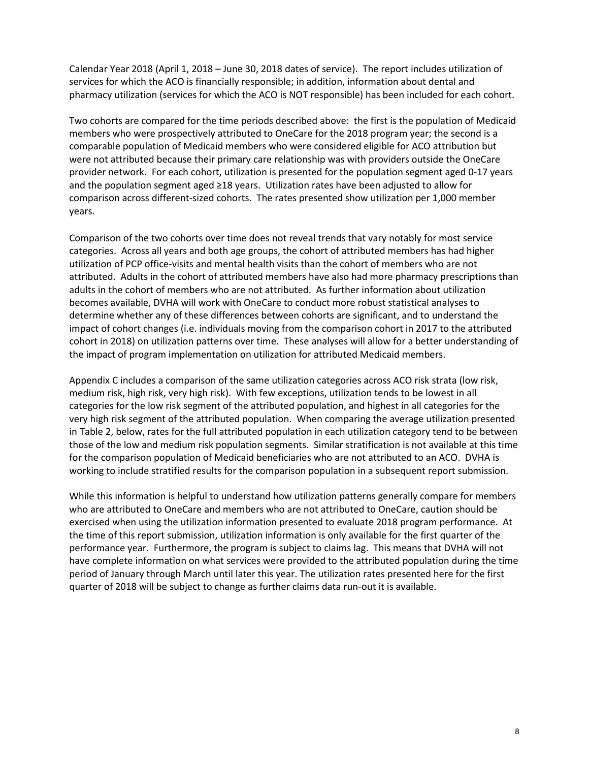Calendar Year 2018 (April 1, 2018 – June 30, 2018 dates of service). The report includes utilization of services for which the ACO is financially responsible; in addition, information about dental and pharmacy utilization (services for which the ACO is NOT responsible) has been included for each cohort.

Two cohorts are compared for the time periods described above: the first is the population of Medicaid members who were prospectively attributed to OneCare for the 2018 program year; the second is a comparable population of Medicaid members who were considered eligible for ACO attribution but were not attributed because their primary care relationship was with providers outside the OneCare provider network. For each cohort, utilization is presented for the population segment aged 0-17 years and the population segment aged ≥18 years. Utilization rates have been adjusted to allow for comparison across different-sized cohorts. The rates presented show utilization per 1,000 member years.

Comparison of the two cohorts over time does not reveal trends that vary notably for most service categories. Across all years and both age groups, the cohort of attributed members has had higher utilization of PCP office-visits and mental health visits than the cohort of members who are not attributed. Adults in the cohort of attributed members have also had more pharmacy prescriptions than adults in the cohort of members who are not attributed. As further information about utilization becomes available, DVHA will work with OneCare to conduct more robust statistical analyses to determine whether any of these differences between cohorts are significant, and to understand the impact of cohort changes (i.e. individuals moving from the comparison cohort in 2017 to the attributed cohort in 2018) on utilization patterns over time. These analyses will allow for a better understanding of the impact of program implementation on utilization for attributed Medicaid members.

Appendix C includes a comparison of the same utilization categories across ACO risk strata (low risk, medium risk, high risk, very high risk). With few exceptions, utilization tends to be lowest in all categories for the low risk segment of the attributed population, and highest in all categories for the very high risk segment of the attributed population. When comparing the average utilization presented in Table 2, below, rates for the full attributed population in each utilization category tend to be between those of the low and medium risk population segments. Similar stratification is not available at this time for the comparison population of Medicaid beneficiaries who are not attributed to an ACO. DVHA is working to include stratified results for the comparison population in a subsequent report submission.

While this information is helpful to understand how utilization patterns generally compare for members who are attributed to OneCare and members who are not attributed to OneCare, caution should be exercised when using the utilization information presented to evaluate 2018 program performance. At the time of this report submission, utilization information is only available for the first quarter of the performance year. Furthermore, the program is subject to claims lag. This means that DVHA will not have complete information on what services were provided to the attributed population during the time period of January through March until later this year. The utilization rates presented here for the first quarter of 2018 will be subject to change as further claims data run-out it is available.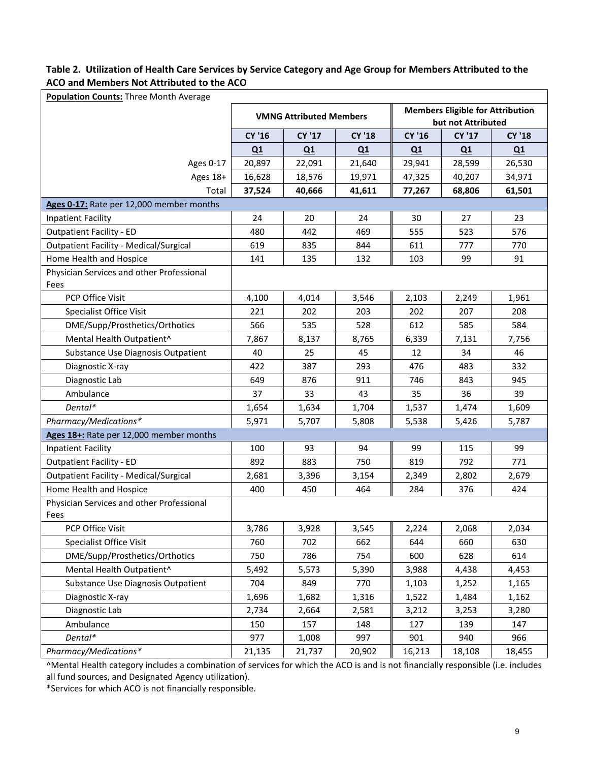## **Table 2. Utilization of Health Care Services by Service Category and Age Group for Members Attributed to the ACO and Members Not Attributed to the ACO**

| Population Counts: Three Month Average            |        |                                |               |                                                               |               |               |  |  |  |  |  |
|---------------------------------------------------|--------|--------------------------------|---------------|---------------------------------------------------------------|---------------|---------------|--|--|--|--|--|
|                                                   |        | <b>VMNG Attributed Members</b> |               | <b>Members Eligible for Attribution</b><br>but not Attributed |               |               |  |  |  |  |  |
|                                                   | CY '16 | <b>CY '17</b>                  | <b>CY '18</b> | <b>CY '16</b>                                                 | <b>CY '17</b> | <b>CY '18</b> |  |  |  |  |  |
|                                                   | Q1     | Q1                             | Q1            | Q1                                                            | Q1            | Q1            |  |  |  |  |  |
| Ages 0-17                                         | 20,897 | 22,091                         | 21,640        | 29,941                                                        | 28,599        | 26,530        |  |  |  |  |  |
| Ages 18+                                          | 16,628 | 18,576                         | 19,971        | 47,325                                                        | 40,207        | 34,971        |  |  |  |  |  |
| Total                                             | 37,524 | 40,666                         | 41,611        | 77,267                                                        | 68,806        | 61,501        |  |  |  |  |  |
| Ages 0-17: Rate per 12,000 member months          |        |                                |               |                                                               |               |               |  |  |  |  |  |
| <b>Inpatient Facility</b>                         | 24     | 20                             | 24            | 30                                                            | 27            | 23            |  |  |  |  |  |
| <b>Outpatient Facility - ED</b>                   | 480    | 442                            | 469           | 555                                                           | 523           | 576           |  |  |  |  |  |
| <b>Outpatient Facility - Medical/Surgical</b>     | 619    | 835                            | 844           | 611                                                           | 777           | 770           |  |  |  |  |  |
| Home Health and Hospice                           | 141    | 135                            | 132           | 103                                                           | 99            | 91            |  |  |  |  |  |
| Physician Services and other Professional<br>Fees |        |                                |               |                                                               |               |               |  |  |  |  |  |
| PCP Office Visit                                  | 4,100  | 4,014                          | 3,546         | 2,103                                                         | 2,249         | 1,961         |  |  |  |  |  |
| Specialist Office Visit                           | 221    | 202                            | 203           | 202                                                           | 207           | 208           |  |  |  |  |  |
| DME/Supp/Prosthetics/Orthotics                    | 566    | 535                            | 528           | 612                                                           | 585           | 584           |  |  |  |  |  |
| Mental Health Outpatient^                         | 7,867  | 8,137                          | 8,765         | 6,339                                                         | 7,131         | 7,756         |  |  |  |  |  |
| Substance Use Diagnosis Outpatient                | 40     | 25                             | 45            | 12                                                            | 34            | 46            |  |  |  |  |  |
| Diagnostic X-ray                                  | 422    | 387                            | 293           | 476                                                           | 483           | 332           |  |  |  |  |  |
| Diagnostic Lab                                    | 649    | 876                            | 911           | 746                                                           | 843           | 945           |  |  |  |  |  |
| Ambulance                                         | 37     | 33                             | 43            | 35                                                            | 36            | 39            |  |  |  |  |  |
| Dental*                                           | 1,654  | 1,634                          | 1,704         | 1,537                                                         | 1,474         | 1,609         |  |  |  |  |  |
| Pharmacy/Medications*                             | 5,971  | 5,707                          | 5,808         | 5,538                                                         | 5,426         | 5,787         |  |  |  |  |  |
| Ages 18+: Rate per 12,000 member months           |        |                                |               |                                                               |               |               |  |  |  |  |  |
| <b>Inpatient Facility</b>                         | 100    | 93                             | 94            | 99                                                            | 115           | 99            |  |  |  |  |  |
| <b>Outpatient Facility - ED</b>                   | 892    | 883                            | 750           | 819                                                           | 792           | 771           |  |  |  |  |  |
| <b>Outpatient Facility - Medical/Surgical</b>     | 2,681  | 3,396                          | 3,154         | 2,349                                                         | 2,802         | 2,679         |  |  |  |  |  |
| Home Health and Hospice                           | 400    | 450                            | 464           | 284                                                           | 376           | 424           |  |  |  |  |  |
| Physician Services and other Professional<br>Fees |        |                                |               |                                                               |               |               |  |  |  |  |  |
| PCP Office Visit                                  | 3,786  | 3,928                          | 3,545         | 2,224                                                         | 2,068         | 2,034         |  |  |  |  |  |
| Specialist Office Visit                           | 760    | 702                            | 662           | 644                                                           | 660           | 630           |  |  |  |  |  |
| DME/Supp/Prosthetics/Orthotics                    | 750    | 786                            | 754           | 600                                                           | 628           | 614           |  |  |  |  |  |
| Mental Health Outpatient^                         | 5,492  | 5,573                          | 5,390         | 3,988                                                         | 4,438         | 4,453         |  |  |  |  |  |
| Substance Use Diagnosis Outpatient                | 704    | 849                            | 770           | 1,103                                                         | 1,252         | 1,165         |  |  |  |  |  |
| Diagnostic X-ray                                  | 1,696  | 1,682                          | 1,316         | 1,522                                                         | 1,484         | 1,162         |  |  |  |  |  |
| Diagnostic Lab                                    | 2,734  | 2,664                          | 2,581         | 3,212                                                         | 3,253         | 3,280         |  |  |  |  |  |
| Ambulance                                         | 150    | 157                            | 148           | 127                                                           | 139           | 147           |  |  |  |  |  |
| Dental*                                           | 977    | 1,008                          | 997           | 901                                                           | 940           | 966           |  |  |  |  |  |
| Pharmacy/Medications*                             | 21,135 | 21,737                         | 20,902        | 16,213                                                        | 18,108        | 18,455        |  |  |  |  |  |

^Mental Health category includes a combination of services for which the ACO is and is not financially responsible (i.e. includes all fund sources, and Designated Agency utilization).

\*Services for which ACO is not financially responsible.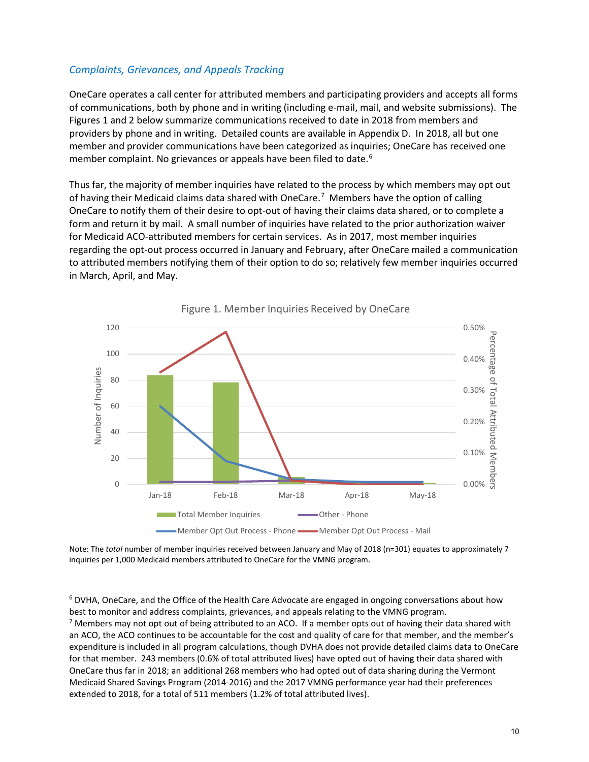## *Complaints, Grievances, and Appeals Tracking*

OneCare operates a call center for attributed members and participating providers and accepts all forms of communications, both by phone and in writing (including e-mail, mail, and website submissions). The Figures 1 and 2 below summarize communications received to date in 2018 from members and providers by phone and in writing. Detailed counts are available in Appendix D. In 2018, all but one member and provider communications have been categorized as inquiries; OneCare has received one member complaint. No grievances or appeals have been filed to date.<sup>[6](#page-10-0)</sup>

Thus far, the majority of member inquiries have related to the process by which members may opt out of having their Medicaid claims data shared with OneCare.<sup>[7](#page-10-1)</sup> Members have the option of calling OneCare to notify them of their desire to opt-out of having their claims data shared, or to complete a form and return it by mail. A small number of inquiries have related to the prior authorization waiver for Medicaid ACO-attributed members for certain services. As in 2017, most member inquiries regarding the opt-out process occurred in January and February, after OneCare mailed a communication to attributed members notifying them of their option to do so; relatively few member inquiries occurred in March, April, and May.



Figure 1. Member Inquiries Received by OneCare

Note: The *total* number of member inquiries received between January and May of 2018 (n=301) equates to approximately 7 inquiries per 1,000 Medicaid members attributed to OneCare for the VMNG program.

<span id="page-10-0"></span> $6$  DVHA, OneCare, and the Office of the Health Care Advocate are engaged in ongoing conversations about how best to monitor and address complaints, grievances, and appeals relating to the VMNG program.

<span id="page-10-1"></span><sup>7</sup> Members may not opt out of being attributed to an ACO. If a member opts out of having their data shared with an ACO, the ACO continues to be accountable for the cost and quality of care for that member, and the member's expenditure is included in all program calculations, though DVHA does not provide detailed claims data to OneCare for that member. 243 members (0.6% of total attributed lives) have opted out of having their data shared with OneCare thus far in 2018; an additional 268 members who had opted out of data sharing during the Vermont Medicaid Shared Savings Program (2014-2016) and the 2017 VMNG performance year had their preferences extended to 2018, for a total of 511 members (1.2% of total attributed lives).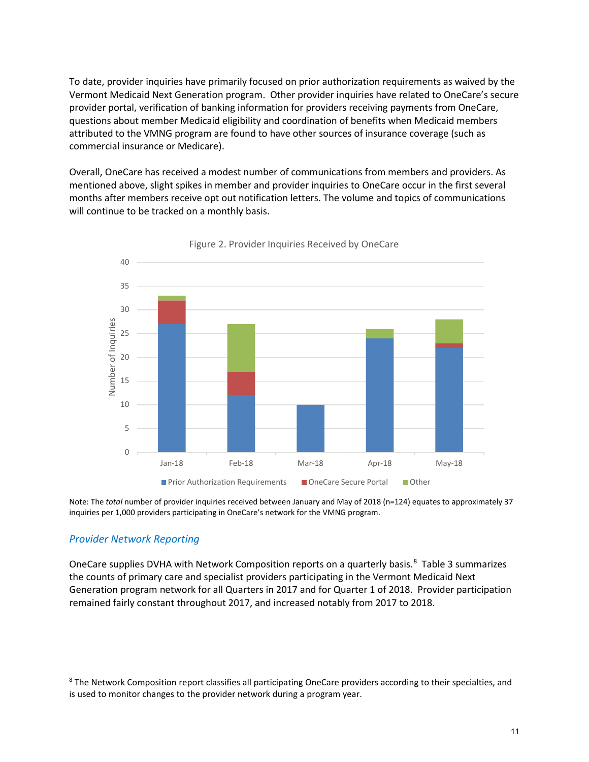To date, provider inquiries have primarily focused on prior authorization requirements as waived by the Vermont Medicaid Next Generation program. Other provider inquiries have related to OneCare's secure provider portal, verification of banking information for providers receiving payments from OneCare, questions about member Medicaid eligibility and coordination of benefits when Medicaid members attributed to the VMNG program are found to have other sources of insurance coverage (such as commercial insurance or Medicare).

Overall, OneCare has received a modest number of communications from members and providers. As mentioned above, slight spikes in member and provider inquiries to OneCare occur in the first several months after members receive opt out notification letters. The volume and topics of communications will continue to be tracked on a monthly basis.





Note: The *total* number of provider inquiries received between January and May of 2018 (n=124) equates to approximately 37 inquiries per 1,000 providers participating in OneCare's network for the VMNG program.

## *Provider Network Reporting*

OneCare supplies DVHA with Network Composition reports on a quarterly basis.<sup>[8](#page-11-0)</sup> Table 3 summarizes the counts of primary care and specialist providers participating in the Vermont Medicaid Next Generation program network for all Quarters in 2017 and for Quarter 1 of 2018. Provider participation remained fairly constant throughout 2017, and increased notably from 2017 to 2018.

<span id="page-11-0"></span><sup>8</sup> The Network Composition report classifies all participating OneCare providers according to their specialties, and is used to monitor changes to the provider network during a program year.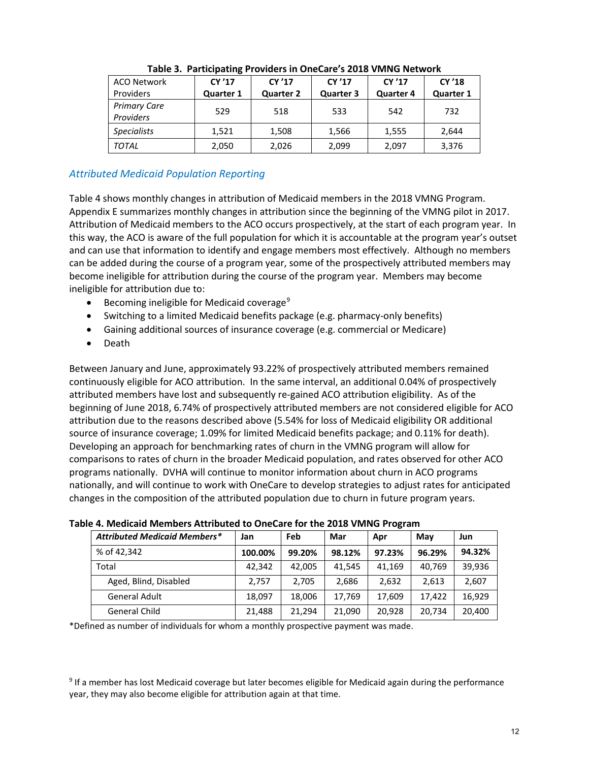| <b>ACO Network</b>               | CY '17    | CY '17           | CY '17           | CY'17            | CY '18           |
|----------------------------------|-----------|------------------|------------------|------------------|------------------|
| <b>Providers</b>                 | Quarter 1 | <b>Quarter 2</b> | <b>Quarter 3</b> | <b>Quarter 4</b> | <b>Quarter 1</b> |
| <b>Primary Care</b><br>Providers | 529       | 518              | 533              | 542              | 732              |
| <b>Specialists</b>               | 1,521     | 1,508            | 1,566            | 1,555            | 2,644            |
| <b>TOTAL</b>                     | 2,050     | 2,026            | 2,099            | 2,097            | 3,376            |

## **Table 3. Participating Providers in OneCare's 2018 VMNG Network**

## *Attributed Medicaid Population Reporting*

Table 4 shows monthly changes in attribution of Medicaid members in the 2018 VMNG Program. Appendix E summarizes monthly changes in attribution since the beginning of the VMNG pilot in 2017. Attribution of Medicaid members to the ACO occurs prospectively, at the start of each program year. In this way, the ACO is aware of the full population for which it is accountable at the program year's outset and can use that information to identify and engage members most effectively. Although no members can be added during the course of a program year, some of the prospectively attributed members may become ineligible for attribution during the course of the program year. Members may become ineligible for attribution due to:

- **•** Becoming ineligible for Medicaid coverage<sup>[9](#page-12-0)</sup>
- Switching to a limited Medicaid benefits package (e.g. pharmacy-only benefits)
- Gaining additional sources of insurance coverage (e.g. commercial or Medicare)
- Death

Between January and June, approximately 93.22% of prospectively attributed members remained continuously eligible for ACO attribution. In the same interval, an additional 0.04% of prospectively attributed members have lost and subsequently re-gained ACO attribution eligibility. As of the beginning of June 2018, 6.74% of prospectively attributed members are not considered eligible for ACO attribution due to the reasons described above (5.54% for loss of Medicaid eligibility OR additional source of insurance coverage; 1.09% for limited Medicaid benefits package; and 0.11% for death). Developing an approach for benchmarking rates of churn in the VMNG program will allow for comparisons to rates of churn in the broader Medicaid population, and rates observed for other ACO programs nationally. DVHA will continue to monitor information about churn in ACO programs nationally, and will continue to work with OneCare to develop strategies to adjust rates for anticipated changes in the composition of the attributed population due to churn in future program years.

| <b>Attributed Medicaid Members*</b> | Jan     | Feb    | Mar    | Apr    | May    | Jun    |  |  |  |  |  |  |  |
|-------------------------------------|---------|--------|--------|--------|--------|--------|--|--|--|--|--|--|--|
| % of 42,342                         | 100.00% | 99.20% | 98.12% | 97.23% | 96.29% | 94.32% |  |  |  |  |  |  |  |
| Total                               | 42,342  | 42,005 | 41,545 | 41,169 | 40,769 | 39,936 |  |  |  |  |  |  |  |
| Aged, Blind, Disabled               | 2.757   | 2,705  | 2,686  | 2,632  | 2,613  | 2,607  |  |  |  |  |  |  |  |
| <b>General Adult</b>                | 18.097  | 18.006 | 17.769 | 17.609 | 17.422 | 16.929 |  |  |  |  |  |  |  |
| General Child                       | 21,488  | 21,294 | 21,090 | 20,928 | 20,734 | 20,400 |  |  |  |  |  |  |  |

#### **Table 4. Medicaid Members Attributed to OneCare for the 2018 VMNG Program**

\*Defined as number of individuals for whom a monthly prospective payment was made.

<span id="page-12-0"></span><sup>9</sup> If a member has lost Medicaid coverage but later becomes eligible for Medicaid again during the performance year, they may also become eligible for attribution again at that time.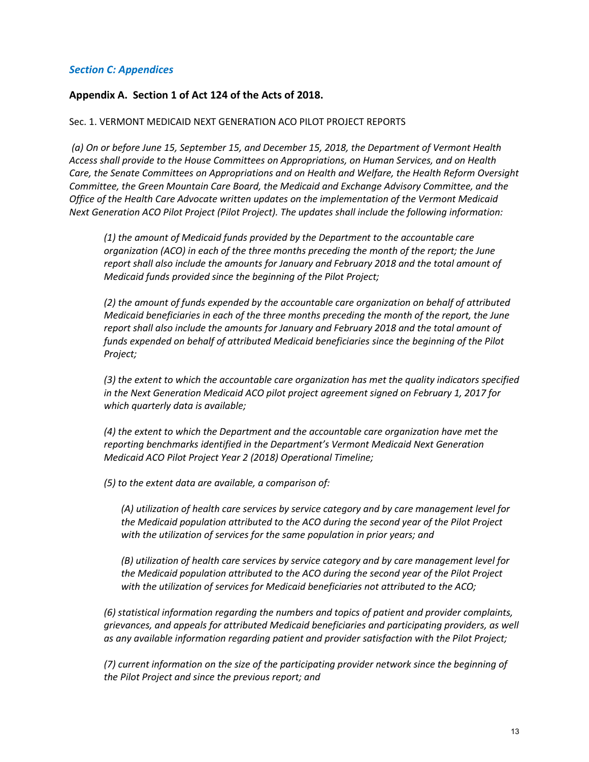## *Section C: Appendices*

## **Appendix A. Section 1 of Act 124 of the Acts of 2018.**

#### Sec. 1. VERMONT MEDICAID NEXT GENERATION ACO PILOT PROJECT REPORTS

*(a) On or before June 15, September 15, and December 15, 2018, the Department of Vermont Health Access shall provide to the House Committees on Appropriations, on Human Services, and on Health Care, the Senate Committees on Appropriations and on Health and Welfare, the Health Reform Oversight Committee, the Green Mountain Care Board, the Medicaid and Exchange Advisory Committee, and the Office of the Health Care Advocate written updates on the implementation of the Vermont Medicaid Next Generation ACO Pilot Project (Pilot Project). The updates shall include the following information:*

*(1) the amount of Medicaid funds provided by the Department to the accountable care organization (ACO) in each of the three months preceding the month of the report; the June report shall also include the amounts for January and February 2018 and the total amount of Medicaid funds provided since the beginning of the Pilot Project;* 

*(2) the amount of funds expended by the accountable care organization on behalf of attributed Medicaid beneficiaries in each of the three months preceding the month of the report, the June report shall also include the amounts for January and February 2018 and the total amount of funds expended on behalf of attributed Medicaid beneficiaries since the beginning of the Pilot Project;* 

*(3) the extent to which the accountable care organization has met the quality indicators specified in the Next Generation Medicaid ACO pilot project agreement signed on February 1, 2017 for which quarterly data is available;*

*(4) the extent to which the Department and the accountable care organization have met the reporting benchmarks identified in the Department's Vermont Medicaid Next Generation Medicaid ACO Pilot Project Year 2 (2018) Operational Timeline;*

*(5) to the extent data are available, a comparison of:* 

*(A) utilization of health care services by service category and by care management level for the Medicaid population attributed to the ACO during the second year of the Pilot Project with the utilization of services for the same population in prior years; and* 

*(B) utilization of health care services by service category and by care management level for the Medicaid population attributed to the ACO during the second year of the Pilot Project with the utilization of services for Medicaid beneficiaries not attributed to the ACO;* 

*(6) statistical information regarding the numbers and topics of patient and provider complaints, grievances, and appeals for attributed Medicaid beneficiaries and participating providers, as well as any available information regarding patient and provider satisfaction with the Pilot Project;* 

*(7) current information on the size of the participating provider network since the beginning of the Pilot Project and since the previous report; and*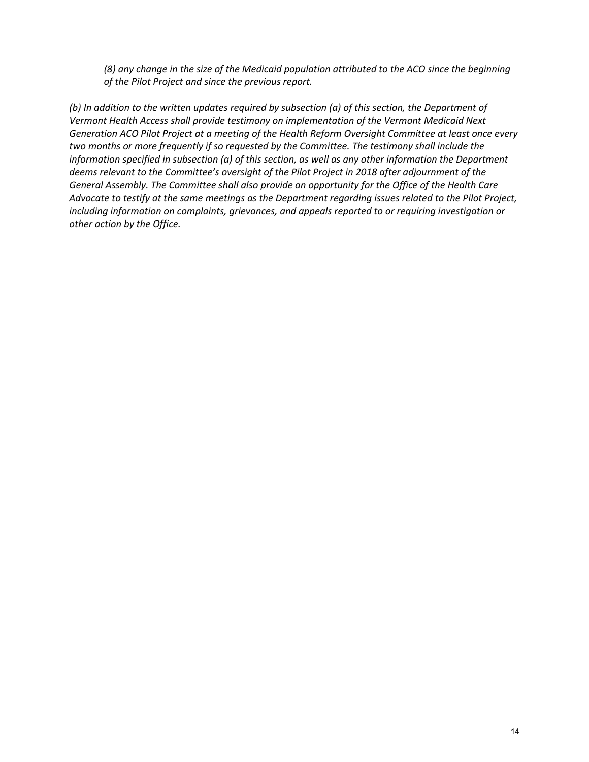*(8) any change in the size of the Medicaid population attributed to the ACO since the beginning of the Pilot Project and since the previous report.*

*(b) In addition to the written updates required by subsection (a) of this section, the Department of Vermont Health Access shall provide testimony on implementation of the Vermont Medicaid Next Generation ACO Pilot Project at a meeting of the Health Reform Oversight Committee at least once every two months or more frequently if so requested by the Committee. The testimony shall include the information specified in subsection (a) of this section, as well as any other information the Department deems relevant to the Committee's oversight of the Pilot Project in 2018 after adjournment of the General Assembly. The Committee shall also provide an opportunity for the Office of the Health Care Advocate to testify at the same meetings as the Department regarding issues related to the Pilot Project, including information on complaints, grievances, and appeals reported to or requiring investigation or other action by the Office.*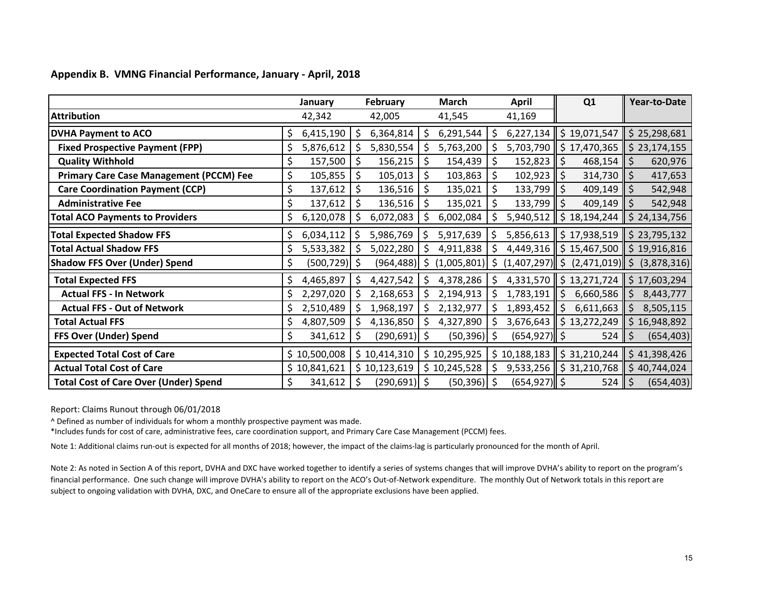|  | Appendix B. VMNG Financial Performance, January - April, 2018 |  |  |  |
|--|---------------------------------------------------------------|--|--|--|
|--|---------------------------------------------------------------|--|--|--|

|                                                |     | January      |    | <b>February</b> |    | March            |            | <b>April</b>    | Q <sub>1</sub>                                                                   | Year-to-Date      |
|------------------------------------------------|-----|--------------|----|-----------------|----|------------------|------------|-----------------|----------------------------------------------------------------------------------|-------------------|
| <b>Attribution</b>                             |     | 42,342       |    | 42,005          |    | 41,545           |            | 41,169          |                                                                                  |                   |
| <b>DVHA Payment to ACO</b>                     | \$. | 6,415,190    | \$ | 6,364,814       | \$ | $6,291,544$   \$ |            |                 | $6,227,134$ \$19,071,547 \$25,298,681                                            |                   |
| <b>Fixed Prospective Payment (FPP)</b>         |     | 5,876,612    |    | 5,830,554       |    | 5,763,200        |            |                 | 5,703,790   \$17,470,365   \$23,174,155                                          |                   |
| <b>Quality Withhold</b>                        | Ş   | 157,500      | \$ | 156,215         | \$ | 154,439          | $\vert$ \$ | $152,823$ \$    | $468,154$ \$                                                                     | 620,976           |
| <b>Primary Care Case Management (PCCM) Fee</b> | \$  | 105,855      | \$ | 105,013         | \$ | 103,863          | \$         | $102,923$ \$    | $314,730$   \$                                                                   | 417,653           |
| <b>Care Coordination Payment (CCP)</b>         | \$  | 137,612      | \$ | 136,516         | \$ | 135,021          | \$         | $133,799$ \$    | $409,149$ \$                                                                     | 542,948           |
| <b>Administrative Fee</b>                      | \$  | 137,612      |    | 136,516         | \$ | 135,021          | \$         | $133,799$ \$    | $409,149$ \$                                                                     | 542,948           |
| <b>Total ACO Payments to Providers</b>         |     | 6,120,078    | S  | 6,072,083       |    | 6,002,084        |            | 5,940,512       | $$18,194,244$ $$24,134,756$                                                      |                   |
| <b>Total Expected Shadow FFS</b>               |     | 6,034,112    |    | 5,986,769       | -S | 5,917,639        | 5 ا        |                 | 5,856,613 $\parallel$ \$ 17,938,519 $\parallel$ \$ 23,795,132                    |                   |
| <b>Total Actual Shadow FFS</b>                 |     | 5,533,382    | S  | 5,022,280       |    | $4,911,838$   \$ |            |                 | 4,449,316 $\parallel$ \$ 15,467,500 $\parallel$ \$ 19,916,816                    |                   |
| <b>Shadow FFS Over (Under) Spend</b>           |     | (500, 729)   | S. | (964, 488)      |    | $(1,005,801)$ \$ |            |                 | $(1,407,297)$ \$ $(2,471,019)$ \$ $(3,878,316)$                                  |                   |
| <b>Total Expected FFS</b>                      |     | 4,465,897    | \$ | 4,427,542       | S  | $4,378,286$   \$ |            |                 | 4,331,570 $\parallel$ \$ 13,271,724 $\parallel$ \$ 17,603,294                    |                   |
| <b>Actual FFS - In Network</b>                 |     | 2,297,020    |    | 2,168,653       |    | 2,194,913        | -Ś         | $1,783,191$ \$  | $6,660,586$ \$                                                                   | 8,443,777         |
| <b>Actual FFS - Out of Network</b>             |     | 2,510,489    | Ś. | 1,968,197       | \$ | 2,132,977        | -\$        | $1,893,452$ \$  | $6,611,663$   \$                                                                 | 8,505,115         |
| <b>Total Actual FFS</b>                        |     | 4,807,509    |    | 4,136,850       |    | 4,327,890        | -S         | 3,676,643       | $\frac{1}{2}$ \$ 13,272,249                                                      | 16,948,892<br>\$. |
| FFS Over (Under) Spend                         | Ś   | 341,612      | \$ | $(290,691)$ \$  |    | $(50, 396)$ \$   |            | $(654, 927)$ \$ | $524$   \$                                                                       | (654, 403)        |
| <b>Expected Total Cost of Care</b>             |     | \$10,500,008 |    | \$10,414,310    |    | \$10,295,925     |            |                 | $\frac{1}{2}$ 10,188,183 $\frac{1}{2}$ \$ 31,210,244 $\frac{1}{2}$ \$ 41,398,426 |                   |
| <b>Actual Total Cost of Care</b>               |     | \$10,841,621 |    | \$10,123,619    |    | $$10,245,528$ \$ |            |                 | $9,533,256$ $\parallel$ \$ 31,210,768 $\parallel$ \$ 40,744,024                  |                   |
| <b>Total Cost of Care Over (Under) Spend</b>   | \$  | 341,612      | \$ | $(290,691)$ \$  |    | $(50, 396)$ \$   |            | $(654, 927)$ \$ | $524$   \$                                                                       | (654, 403)        |

Report: Claims Runout through 06/01/2018

^ Defined as number of individuals for whom a monthly prospective payment was made.

\*Includes funds for cost of care, administrative fees, care coordination support, and Primary Care Case Management (PCCM) fees.

Note 1: Additional claims run-out is expected for all months of 2018; however, the impact of the claims-lag is particularly pronounced for the month of April.

Note 2: As noted in Section A of this report, DVHA and DXC have worked together to identify a series of systems changes that will improve DVHA's ability to report on the program's financial performance. One such change will improve DVHA's ability to report on the ACO's Out-of-Network expenditure. The monthly Out of Network totals in this report are subject to ongoing validation with DVHA, DXC, and OneCare to ensure all of the appropriate exclusions have been applied.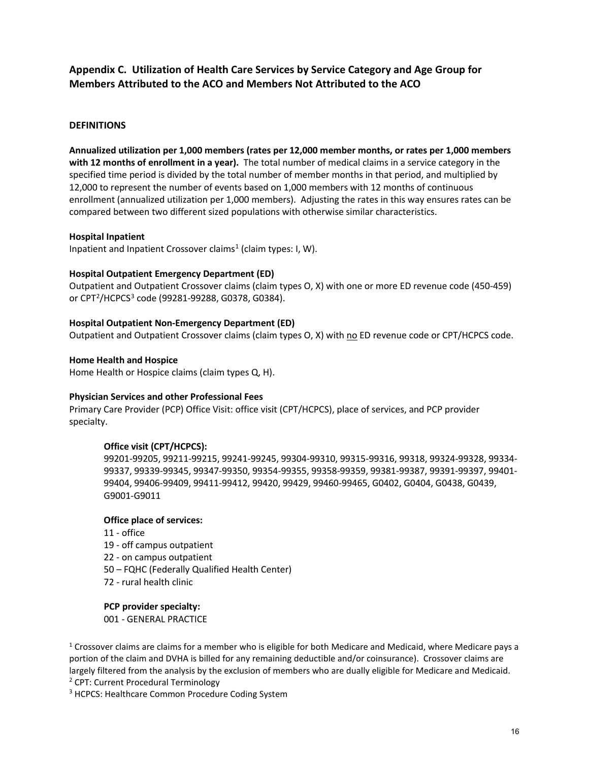## **Appendix C. Utilization of Health Care Services by Service Category and Age Group for Members Attributed to the ACO and Members Not Attributed to the ACO**

#### **DEFINITIONS**

**Annualized utilization per 1,000 members (rates per 12,000 member months, or rates per 1,000 members with 12 months of enrollment in a year).** The total number of medical claims in a service category in the specified time period is divided by the total number of member months in that period, and multiplied by 12,000 to represent the number of events based on 1,000 members with 12 months of continuous enrollment (annualized utilization per 1,000 members). Adjusting the rates in this way ensures rates can be compared between two different sized populations with otherwise similar characteristics.

#### **Hospital Inpatient**

Inpatient and Inpatient Crossover claims<sup>[1](#page-16-0)</sup> (claim types: I, W).

#### **Hospital Outpatient Emergency Department (ED)**

Outpatient and Outpatient Crossover claims (claim types O, X) with one or more ED revenue code (450-459) or CPT<sup>2</sup>/HCPCS<sup>[3](#page-16-2)</sup> code (99281-99288, G0378, G0384).

#### **Hospital Outpatient Non-Emergency Department (ED)**

Outpatient and Outpatient Crossover claims (claim types O, X) with no ED revenue code or CPT/HCPCS code.

#### **Home Health and Hospice**

Home Health or Hospice claims (claim types Q, H).

#### **Physician Services and other Professional Fees**

Primary Care Provider (PCP) Office Visit: office visit (CPT/HCPCS), place of services, and PCP provider specialty.

#### **Office visit (CPT/HCPCS):**

99201-99205, 99211-99215, 99241-99245, 99304-99310, 99315-99316, 99318, 99324-99328, 99334- 99337, 99339-99345, 99347-99350, 99354-99355, 99358-99359, 99381-99387, 99391-99397, 99401- 99404, 99406-99409, 99411-99412, 99420, 99429, 99460-99465, G0402, G0404, G0438, G0439, G9001-G9011

#### **Office place of services:**

- 11 office
- 19 off campus outpatient
- 22 on campus outpatient
- 50 FQHC (Federally Qualified Health Center)
- 72 rural health clinic

#### **PCP provider specialty:**

001 - GENERAL PRACTICE

<span id="page-16-0"></span> $1$  Crossover claims are claims for a member who is eligible for both Medicare and Medicaid, where Medicare pays a portion of the claim and DVHA is billed for any remaining deductible and/or coinsurance). Crossover claims are largely filtered from the analysis by the exclusion of members who are dually eligible for Medicare and Medicaid. <sup>2</sup> CPT: Current Procedural Terminology

<span id="page-16-2"></span><span id="page-16-1"></span><sup>3</sup> HCPCS: Healthcare Common Procedure Coding System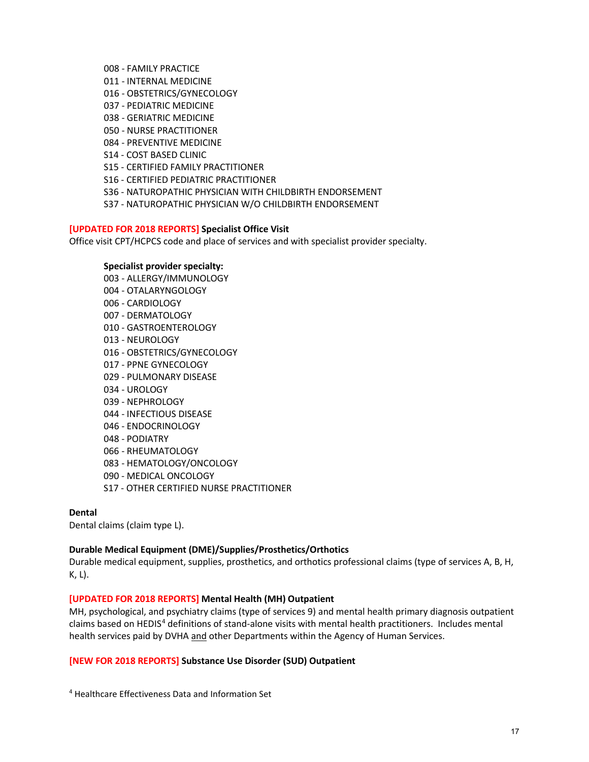- 008 FAMILY PRACTICE
- 011 INTERNAL MEDICINE
- 016 OBSTETRICS/GYNECOLOGY
- 037 PEDIATRIC MEDICINE
- 038 GERIATRIC MEDICINE
- 050 NURSE PRACTITIONER
- 084 PREVENTIVE MEDICINE
- S14 COST BASED CLINIC
- S15 CERTIFIED FAMILY PRACTITIONER
- S16 CERTIFIED PEDIATRIC PRACTITIONER
- S36 NATUROPATHIC PHYSICIAN WITH CHILDBIRTH ENDORSEMENT
- S37 NATUROPATHIC PHYSICIAN W/O CHILDBIRTH ENDORSEMENT

#### **[UPDATED FOR 2018 REPORTS] Specialist Office Visit**

Office visit CPT/HCPCS code and place of services and with specialist provider specialty.

#### **Specialist provider specialty:**

003 - ALLERGY/IMMUNOLOGY 004 - OTALARYNGOLOGY 006 - CARDIOLOGY 007 - DERMATOLOGY 010 - GASTROENTEROLOGY 013 - NEUROLOGY 016 - OBSTETRICS/GYNECOLOGY 017 - PPNE GYNECOLOGY 029 - PULMONARY DISEASE 034 - UROLOGY 039 - NEPHROLOGY 044 - INFECTIOUS DISEASE 046 - ENDOCRINOLOGY 048 - PODIATRY 066 - RHEUMATOLOGY 083 - HEMATOLOGY/ONCOLOGY 090 - MEDICAL ONCOLOGY S17 - OTHER CERTIFIED NURSE PRACTITIONER

#### **Dental**

Dental claims (claim type L).

#### **Durable Medical Equipment (DME)/Supplies/Prosthetics/Orthotics**

Durable medical equipment, supplies, prosthetics, and orthotics professional claims (type of services A, B, H, K, L).

#### **[UPDATED FOR 2018 REPORTS] Mental Health (MH) Outpatient**

MH, psychological, and psychiatry claims (type of services 9) and mental health primary diagnosis outpatient claims based on HEDIS<sup>[4](#page-17-0)</sup> definitions of stand-alone visits with mental health practitioners. Includes mental health services paid by DVHA and other Departments within the Agency of Human Services.

#### **[NEW FOR 2018 REPORTS] Substance Use Disorder (SUD) Outpatient**

<span id="page-17-0"></span><sup>4</sup> Healthcare Effectiveness Data and Information Set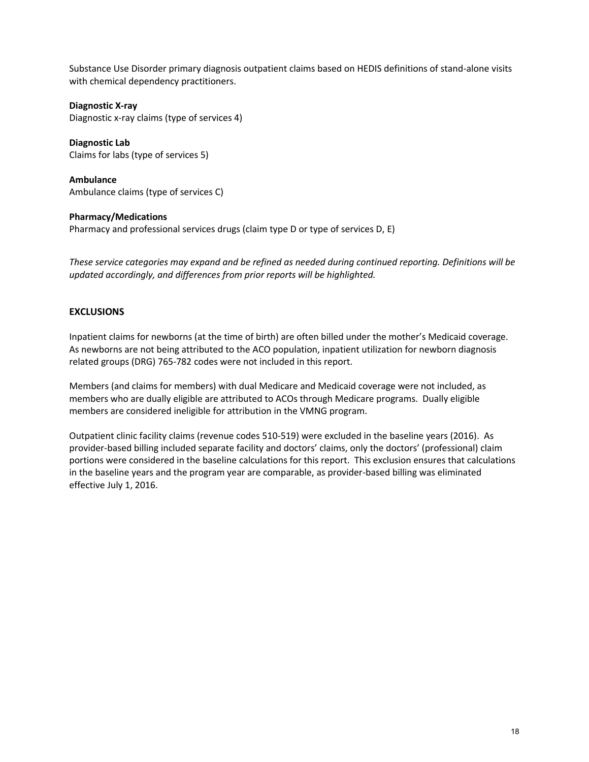Substance Use Disorder primary diagnosis outpatient claims based on HEDIS definitions of stand-alone visits with chemical dependency practitioners.

**Diagnostic X-ray** Diagnostic x-ray claims (type of services 4)

**Diagnostic Lab** Claims for labs (type of services 5)

**Ambulance** Ambulance claims (type of services C)

## **Pharmacy/Medications**

Pharmacy and professional services drugs (claim type D or type of services D, E)

*These service categories may expand and be refined as needed during continued reporting. Definitions will be updated accordingly, and differences from prior reports will be highlighted.*

## **EXCLUSIONS**

Inpatient claims for newborns (at the time of birth) are often billed under the mother's Medicaid coverage. As newborns are not being attributed to the ACO population, inpatient utilization for newborn diagnosis related groups (DRG) 765-782 codes were not included in this report.

Members (and claims for members) with dual Medicare and Medicaid coverage were not included, as members who are dually eligible are attributed to ACOs through Medicare programs. Dually eligible members are considered ineligible for attribution in the VMNG program.

Outpatient clinic facility claims (revenue codes 510-519) were excluded in the baseline years (2016). As provider-based billing included separate facility and doctors' claims, only the doctors' (professional) claim portions were considered in the baseline calculations for this report. This exclusion ensures that calculations in the baseline years and the program year are comparable, as provider-based billing was eliminated effective July 1, 2016.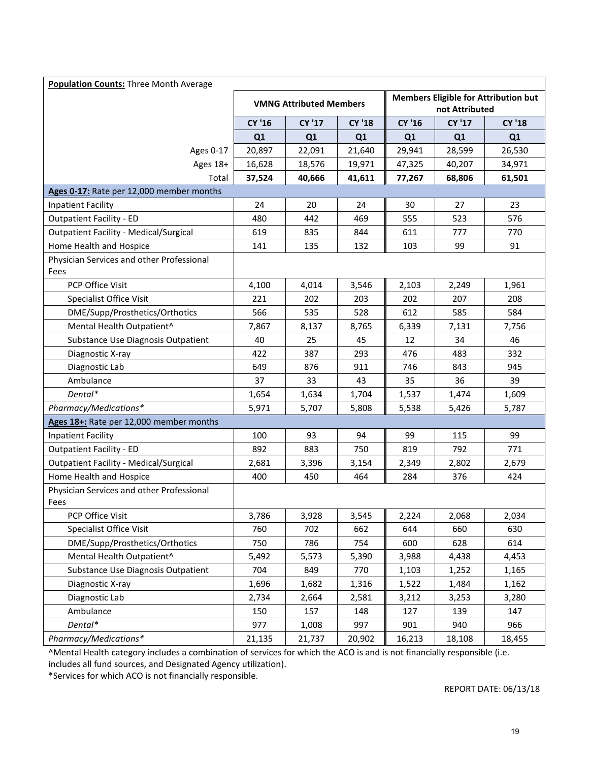| <b>Population Counts: Three Month Average</b>     |        |                                |               |        |                |                                             |  |  |  |  |  |
|---------------------------------------------------|--------|--------------------------------|---------------|--------|----------------|---------------------------------------------|--|--|--|--|--|
|                                                   |        | <b>VMNG Attributed Members</b> |               |        | not Attributed | <b>Members Eligible for Attribution but</b> |  |  |  |  |  |
|                                                   | CY '16 | <b>CY '17</b>                  | <b>CY '18</b> | CY '16 | <b>CY '17</b>  | <b>CY '18</b>                               |  |  |  |  |  |
|                                                   | Q1     | Q1                             | Q1            | Q1     | Q1             | Q1                                          |  |  |  |  |  |
| Ages 0-17                                         | 20,897 | 22,091                         | 21,640        | 29,941 | 28,599         | 26,530                                      |  |  |  |  |  |
| Ages 18+                                          | 16,628 | 18,576                         | 19,971        | 47,325 | 40,207         | 34,971                                      |  |  |  |  |  |
| Total                                             | 37,524 | 40,666                         | 41,611        | 77,267 | 68,806         | 61,501                                      |  |  |  |  |  |
| Ages 0-17: Rate per 12,000 member months          |        |                                |               |        |                |                                             |  |  |  |  |  |
| <b>Inpatient Facility</b>                         | 24     | 20                             | 24            | 30     | 27             | 23                                          |  |  |  |  |  |
| <b>Outpatient Facility - ED</b>                   | 480    | 442                            | 469           | 555    | 523            | 576                                         |  |  |  |  |  |
| <b>Outpatient Facility - Medical/Surgical</b>     | 619    | 835                            | 844           | 611    | 777            | 770                                         |  |  |  |  |  |
| Home Health and Hospice                           | 141    | 135                            | 132           | 103    | 99             | 91                                          |  |  |  |  |  |
| Physician Services and other Professional<br>Fees |        |                                |               |        |                |                                             |  |  |  |  |  |
| PCP Office Visit                                  | 4,100  | 4,014                          | 3,546         | 2,103  | 2,249          | 1,961                                       |  |  |  |  |  |
| <b>Specialist Office Visit</b>                    | 221    | 202                            | 203           | 202    | 207            | 208                                         |  |  |  |  |  |
| DME/Supp/Prosthetics/Orthotics                    | 566    | 535                            | 528           | 612    | 585            | 584                                         |  |  |  |  |  |
| Mental Health Outpatient^                         | 7,867  | 8,137                          | 8,765         | 6,339  | 7,131          | 7,756                                       |  |  |  |  |  |
| Substance Use Diagnosis Outpatient                | 40     | 25                             | 45            | 12     | 34             | 46                                          |  |  |  |  |  |
| Diagnostic X-ray                                  | 422    | 387                            | 293           | 476    | 483            | 332                                         |  |  |  |  |  |
| Diagnostic Lab                                    | 649    | 876                            | 911           | 746    | 843            | 945                                         |  |  |  |  |  |
| Ambulance                                         | 37     | 33                             | 43            | 35     | 36             | 39                                          |  |  |  |  |  |
| Dental*                                           | 1,654  | 1,634                          | 1,704         | 1,537  | 1,474          | 1,609                                       |  |  |  |  |  |
| Pharmacy/Medications*                             | 5,971  | 5,707                          | 5,808         | 5,538  | 5,426          | 5,787                                       |  |  |  |  |  |
| Ages 18+: Rate per 12,000 member months           |        |                                |               |        |                |                                             |  |  |  |  |  |
| <b>Inpatient Facility</b>                         | 100    | 93                             | 94            | 99     | 115            | 99                                          |  |  |  |  |  |
| <b>Outpatient Facility - ED</b>                   | 892    | 883                            | 750           | 819    | 792            | 771                                         |  |  |  |  |  |
| <b>Outpatient Facility - Medical/Surgical</b>     | 2,681  | 3,396                          | 3,154         | 2,349  | 2,802          | 2,679                                       |  |  |  |  |  |
| Home Health and Hospice                           | 400    | 450                            | 464           | 284    | 376            | 424                                         |  |  |  |  |  |
| Physician Services and other Professional<br>Fees |        |                                |               |        |                |                                             |  |  |  |  |  |
| PCP Office Visit                                  | 3,786  | 3,928                          | 3,545         | 2,224  | 2,068          | 2,034                                       |  |  |  |  |  |
| <b>Specialist Office Visit</b>                    | 760    | 702                            | 662           | 644    | 660            | 630                                         |  |  |  |  |  |
| DME/Supp/Prosthetics/Orthotics                    | 750    | 786                            | 754           | 600    | 628            | 614                                         |  |  |  |  |  |
| Mental Health Outpatient^                         | 5,492  | 5,573                          | 5,390         | 3,988  | 4,438          | 4,453                                       |  |  |  |  |  |
| Substance Use Diagnosis Outpatient                | 704    | 849                            | 770           | 1,103  | 1,252          | 1,165                                       |  |  |  |  |  |
| Diagnostic X-ray                                  | 1,696  | 1,682                          | 1,316         | 1,522  | 1,484          | 1,162                                       |  |  |  |  |  |
| Diagnostic Lab                                    | 2,734  | 2,664                          | 2,581         | 3,212  | 3,253          | 3,280                                       |  |  |  |  |  |
| Ambulance                                         | 150    | 157                            | 148           | 127    | 139            | 147                                         |  |  |  |  |  |
| Dental*                                           | 977    | 1,008                          | 997           | 901    | 940            | 966                                         |  |  |  |  |  |
| Pharmacy/Medications*                             | 21,135 | 21,737                         | 20,902        | 16,213 | 18,108         | 18,455                                      |  |  |  |  |  |

^Mental Health category includes a combination of services for which the ACO is and is not financially responsible (i.e.

includes all fund sources, and Designated Agency utilization).

\*Services for which ACO is not financially responsible.

REPORT DATE: 06/13/18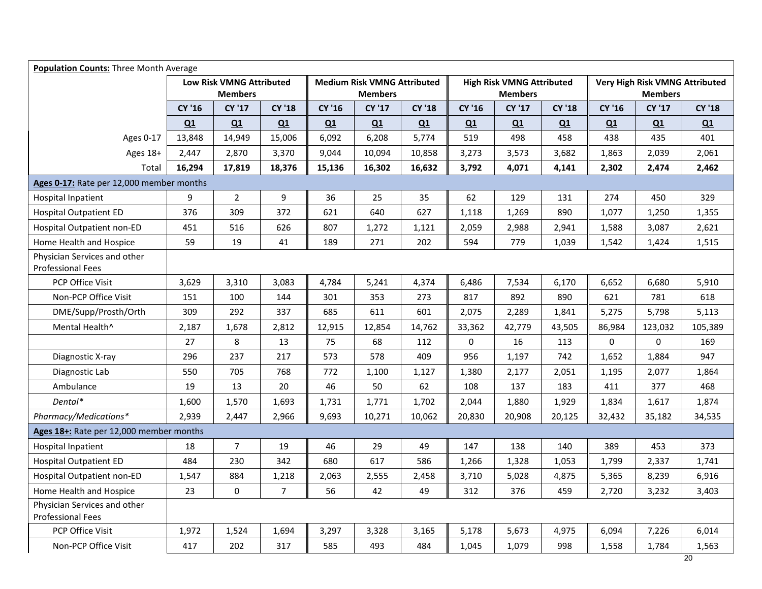| <b>Population Counts: Three Month Average</b>            |        |                                                   |                |        |                                                      |               |        |                                                    |               |             |                                                  |               |
|----------------------------------------------------------|--------|---------------------------------------------------|----------------|--------|------------------------------------------------------|---------------|--------|----------------------------------------------------|---------------|-------------|--------------------------------------------------|---------------|
|                                                          |        | <b>Low Risk VMNG Attributed</b><br><b>Members</b> |                |        | <b>Medium Risk VMNG Attributed</b><br><b>Members</b> |               |        | <b>High Risk VMNG Attributed</b><br><b>Members</b> |               |             | Very High Risk VMNG Attributed<br><b>Members</b> |               |
|                                                          | CY '16 | <b>CY '17</b>                                     | <b>CY '18</b>  | CY '16 | <b>CY '17</b>                                        | <b>CY '18</b> | CY '16 | <b>CY '17</b>                                      | <b>CY '18</b> | CY '16      | <b>CY '17</b>                                    | <b>CY '18</b> |
|                                                          | Q1     | Q1                                                | Q1             | Q1     | Q1                                                   | Q1            | Q1     | Q1                                                 | Q1            | Q1          | Q1                                               | Q1            |
| Ages 0-17                                                | 13,848 | 14,949                                            | 15,006         | 6,092  | 6,208                                                | 5,774         | 519    | 498                                                | 458           | 438         | 435                                              | 401           |
| Ages 18+                                                 | 2,447  | 2,870                                             | 3,370          | 9,044  | 10,094                                               | 10,858        | 3,273  | 3,573                                              | 3,682         | 1,863       | 2,039                                            | 2,061         |
| <b>Total</b>                                             | 16,294 | 17,819                                            | 18,376         | 15,136 | 16,302                                               | 16,632        | 3,792  | 4,071                                              | 4,141         | 2,302       | 2,474                                            | 2,462         |
| Ages 0-17: Rate per 12,000 member months                 |        |                                                   |                |        |                                                      |               |        |                                                    |               |             |                                                  |               |
| <b>Hospital Inpatient</b>                                | 9      | $\overline{2}$                                    | 9              | 36     | 25                                                   | 35            | 62     | 129                                                | 131           | 274         | 450                                              | 329           |
| <b>Hospital Outpatient ED</b>                            | 376    | 309                                               | 372            | 621    | 640                                                  | 627           | 1,118  | 1,269                                              | 890           | 1,077       | 1,250                                            | 1,355         |
| <b>Hospital Outpatient non-ED</b>                        | 451    | 516                                               | 626            | 807    | 1,272                                                | 1,121         | 2,059  | 2,988                                              | 2,941         | 1,588       | 3,087                                            | 2,621         |
| Home Health and Hospice                                  | 59     | 19                                                | 41             | 189    | 271                                                  | 202           | 594    | 779                                                | 1,039         | 1,542       | 1,424                                            | 1,515         |
| Physician Services and other<br><b>Professional Fees</b> |        |                                                   |                |        |                                                      |               |        |                                                    |               |             |                                                  |               |
| PCP Office Visit                                         | 3,629  | 3,310                                             | 3,083          | 4,784  | 5,241                                                | 4,374         | 6,486  | 7,534                                              | 6,170         | 6,652       | 6,680                                            | 5,910         |
| Non-PCP Office Visit                                     | 151    | 100                                               | 144            | 301    | 353                                                  | 273           | 817    | 892                                                | 890           | 621         | 781                                              | 618           |
| DME/Supp/Prosth/Orth                                     | 309    | 292                                               | 337            | 685    | 611                                                  | 601           | 2,075  | 2,289                                              | 1,841         | 5,275       | 5,798                                            | 5,113         |
| Mental Health^                                           | 2,187  | 1,678                                             | 2,812          | 12,915 | 12,854                                               | 14,762        | 33,362 | 42,779                                             | 43,505        | 86,984      | 123,032                                          | 105,389       |
|                                                          | 27     | 8                                                 | 13             | 75     | 68                                                   | 112           | 0      | 16                                                 | 113           | $\mathbf 0$ | 0                                                | 169           |
| Diagnostic X-ray                                         | 296    | 237                                               | 217            | 573    | 578                                                  | 409           | 956    | 1,197                                              | 742           | 1,652       | 1,884                                            | 947           |
| Diagnostic Lab                                           | 550    | 705                                               | 768            | 772    | 1,100                                                | 1,127         | 1,380  | 2,177                                              | 2,051         | 1,195       | 2,077                                            | 1,864         |
| Ambulance                                                | 19     | 13                                                | 20             | 46     | 50                                                   | 62            | 108    | 137                                                | 183           | 411         | 377                                              | 468           |
| Dental*                                                  | 1,600  | 1,570                                             | 1,693          | 1,731  | 1,771                                                | 1,702         | 2,044  | 1,880                                              | 1,929         | 1,834       | 1,617                                            | 1,874         |
| Pharmacy/Medications*                                    | 2,939  | 2,447                                             | 2,966          | 9,693  | 10,271                                               | 10,062        | 20,830 | 20,908                                             | 20,125        | 32,432      | 35,182                                           | 34,535        |
| Ages 18+: Rate per 12,000 member months                  |        |                                                   |                |        |                                                      |               |        |                                                    |               |             |                                                  |               |
| <b>Hospital Inpatient</b>                                | 18     | $\overline{7}$                                    | 19             | 46     | 29                                                   | 49            | 147    | 138                                                | 140           | 389         | 453                                              | 373           |
| <b>Hospital Outpatient ED</b>                            | 484    | 230                                               | 342            | 680    | 617                                                  | 586           | 1,266  | 1,328                                              | 1,053         | 1,799       | 2,337                                            | 1,741         |
| Hospital Outpatient non-ED                               | 1,547  | 884                                               | 1,218          | 2,063  | 2,555                                                | 2,458         | 3,710  | 5,028                                              | 4,875         | 5,365       | 8,239                                            | 6,916         |
| Home Health and Hospice                                  | 23     | $\pmb{0}$                                         | $\overline{7}$ | 56     | 42                                                   | 49            | 312    | 376                                                | 459           | 2,720       | 3,232                                            | 3,403         |
| Physician Services and other<br><b>Professional Fees</b> |        |                                                   |                |        |                                                      |               |        |                                                    |               |             |                                                  |               |
| PCP Office Visit                                         | 1,972  | 1,524                                             | 1,694          | 3,297  | 3,328                                                | 3,165         | 5,178  | 5,673                                              | 4,975         | 6,094       | 7,226                                            | 6,014         |
| Non-PCP Office Visit                                     | 417    | 202                                               | 317            | 585    | 493                                                  | 484           | 1,045  | 1,079                                              | 998           | 1,558       | 1,784                                            | 1,563         |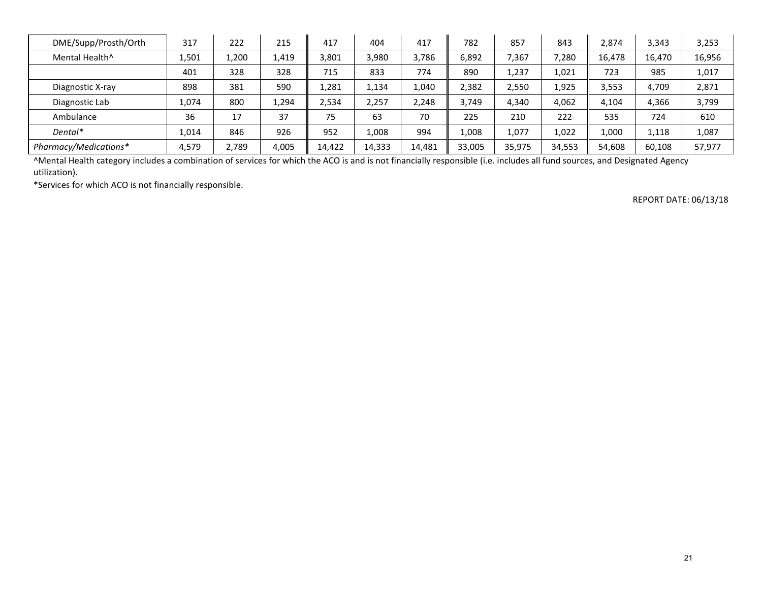| DME/Supp/Prosth/Orth       | 317   | 222   | 215   | 417    | 404    | 417    | 782    | 857    | 843    | 2.874  | 3,343  | 3,253  |
|----------------------------|-------|-------|-------|--------|--------|--------|--------|--------|--------|--------|--------|--------|
| Mental Health <sup>^</sup> | 1,501 | 1,200 | 1,419 | 3,801  | 3,980  | 3,786  | 6,892  | 7,367  | 7,280  | 16,478 | 16,470 | 16,956 |
|                            | 401   | 328   | 328   | 715    | 833    | 774    | 890    | 1,237  | 1,021  | 723    | 985    | 1,017  |
| Diagnostic X-ray           | 898   | 381   | 590   | 1,281  | 1,134  | 1,040  | 2,382  | 2,550  | 1,925  | 3,553  | 4,709  | 2,871  |
| Diagnostic Lab             | 1,074 | 800   | 1,294 | 2,534  | 2,257  | 2,248  | 3,749  | 4,340  | 4,062  | 4,104  | 4,366  | 3,799  |
| Ambulance                  | 36    | 17    | 37    | 75     | 63     | 70     | 225    | 210    | 222    | 535    | 724    | 610    |
| Dental*                    | 1,014 | 846   | 926   | 952    | 1,008  | 994    | 1.008  | 1,077  | 1.022  | 1.000  | 1,118  | 1,087  |
| Pharmacy/Medications*      | 4,579 | 2,789 | 4,005 | 14,422 | 14,333 | 14.481 | 33.005 | 35,975 | 34,553 | 54.608 | 60,108 | 57.977 |

^Mental Health category includes a combination of services for which the ACO is and is not financially responsible (i.e. includes all fund sources, and Designated Agency utilization).

\*Services for which ACO is not financially responsible.

REPORT DATE: 06/13/18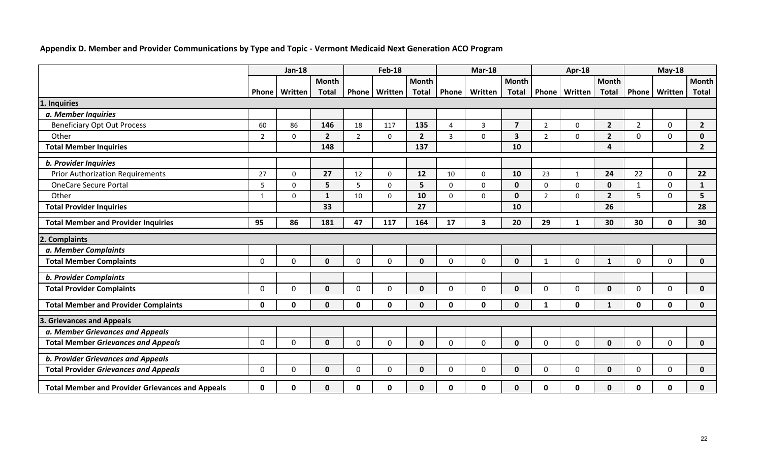## **Appendix D. Member and Provider Communications by Type and Topic - Vermont Medicaid Next Generation ACO Program**

|                                                         | <b>Jan-18</b>  |             | <b>Feb-18</b>  |                | <b>Mar-18</b> |                 |                       | Apr-18      |                         |                | $May-18$        |                |                |              |                |
|---------------------------------------------------------|----------------|-------------|----------------|----------------|---------------|-----------------|-----------------------|-------------|-------------------------|----------------|-----------------|----------------|----------------|--------------|----------------|
|                                                         |                |             | Month          |                |               | <b>Month</b>    |                       |             | <b>Month</b>            |                |                 | <b>Month</b>   |                |              | <b>Month</b>   |
|                                                         | <b>Phone</b>   | Written     | <b>Total</b>   | <b>Phone</b>   | Written       | <b>Total</b>    | Phone                 | Written     | <b>Total</b>            |                | Phone   Written | <b>Total</b>   | <b>Phone</b>   | Written      | <b>Total</b>   |
| 1. Inquiries                                            |                |             |                |                |               |                 |                       |             |                         |                |                 |                |                |              |                |
| a. Member Inquiries                                     |                |             |                |                |               |                 |                       |             |                         |                |                 |                |                |              |                |
| <b>Beneficiary Opt Out Process</b>                      | 60             | 86          | 146            | 18             | 117           | 135             | $\boldsymbol{\Delta}$ | 3           | $\overline{7}$          | $\overline{2}$ | $\mathbf 0$     | $\overline{2}$ | $\overline{2}$ | $\mathbf{0}$ | $\overline{2}$ |
| Other                                                   | $\overline{2}$ | $\mathbf 0$ | $\overline{2}$ | $\overline{2}$ | $\mathbf 0$   | $\overline{2}$  | 3                     | $\Omega$    | $\overline{\mathbf{3}}$ | $\overline{2}$ | $\mathbf{0}$    | $2^{\circ}$    | $\overline{0}$ | $\mathbf{0}$ | $\mathbf 0$    |
| <b>Total Member Inquiries</b>                           |                |             | 148            |                |               | 137             |                       |             | 10                      |                |                 | $\Delta$       |                |              | $\overline{2}$ |
| <b>b. Provider Inquiries</b>                            |                |             |                |                |               |                 |                       |             |                         |                |                 |                |                |              |                |
| <b>Prior Authorization Requirements</b>                 | 27             | $\mathbf 0$ | 27             | 12             | $\mathbf 0$   | 12              | 10                    | 0           | 10                      | 23             | $\mathbf{1}$    | 24             | 22             | $\mathbf 0$  | 22             |
| <b>OneCare Secure Portal</b>                            | 5              | $\mathbf 0$ | 5 <sup>5</sup> | 5              | $\mathbf 0$   | $5\overline{5}$ | $\mathbf 0$           | $\mathbf 0$ | $\mathbf 0$             | $\mathbf 0$    | $\mathbf 0$     | $\mathbf 0$    | $\mathbf{1}$   | $\mathbf 0$  | $\mathbf{1}$   |
| Other                                                   | $\mathbf{1}$   | $\mathbf 0$ | $\mathbf{1}$   | 10             | $\mathbf 0$   | 10              | $\mathbf 0$           | 0           | $\mathbf 0$             | $\overline{2}$ | $\mathbf 0$     | $2^{\circ}$    | 5              | $\mathbf{0}$ | 5              |
| <b>Total Provider Inquiries</b>                         |                |             | 33             |                |               | 27              |                       |             | 10                      |                |                 | 26             |                |              | 28             |
| <b>Total Member and Provider Inquiries</b>              | 95             | 86          | 181            | 47             | 117           | 164             | 17                    | 3           | 20                      | 29             | 1               | 30             | 30             | 0            | 30             |
| <b>Complaints</b>                                       |                |             |                |                |               |                 |                       |             |                         |                |                 |                |                |              |                |
| a. Member Complaints                                    |                |             |                |                |               |                 |                       |             |                         |                |                 |                |                |              |                |
| <b>Total Member Complaints</b>                          | $\Omega$       | $\mathbf 0$ | $\mathbf{0}$   | $\Omega$       | $\mathbf 0$   | $\mathbf{0}$    | $\Omega$              | $\Omega$    | $\mathbf 0$             | $\mathbf{1}$   | $\overline{0}$  | $\mathbf{1}$   | 0              | $\mathbf{0}$ | $\mathbf{0}$   |
| <b>b. Provider Complaints</b>                           |                |             |                |                |               |                 |                       |             |                         |                |                 |                |                |              |                |
| <b>Total Provider Complaints</b>                        | $\Omega$       | $\mathbf 0$ | $\mathbf{0}$   | $\Omega$       | $\Omega$      | $\mathbf{0}$    | $\Omega$              | $\Omega$    | $\mathbf{0}$            | $\Omega$       | $\Omega$        | $\mathbf{0}$   | 0              | $\Omega$     | $\mathbf{0}$   |
| <b>Total Member and Provider Complaints</b>             | 0              | $\mathbf 0$ | $\mathbf{0}$   | 0              | 0             | $\mathbf{0}$    | $\mathbf{0}$          | 0           | $\mathbf 0$             | 1              | 0               | $\mathbf 1$    | 0              | 0            | 0              |
| <b>Grievances and Appeals</b>                           |                |             |                |                |               |                 |                       |             |                         |                |                 |                |                |              |                |
| a. Member Grievances and Appeals                        |                |             |                |                |               |                 |                       |             |                         |                |                 |                |                |              |                |
| <b>Total Member Grievances and Appeals</b>              | $\mathbf{0}$   | $\mathbf 0$ | $\mathbf{0}$   | 0              | $\mathbf 0$   | $\mathbf 0$     | $\mathbf{0}$          | $\Omega$    | $\mathbf 0$             | $\Omega$       | $\mathbf 0$     | $\mathbf 0$    | 0              | $\mathbf 0$  | $\mathbf 0$    |
| <b>b. Provider Grievances and Appeals</b>               |                |             |                |                |               |                 |                       |             |                         |                |                 |                |                |              |                |
| <b>Total Provider Grievances and Appeals</b>            | 0              | $\mathbf 0$ | $\mathbf{0}$   | $\Omega$       | $\mathbf 0$   | $\mathbf 0$     | $\Omega$              | $\Omega$    | $\mathbf 0$             | $\Omega$       | $\mathbf 0$     | $\mathbf{0}$   | 0              | $\mathbf{0}$ | 0              |
| <b>Total Member and Provider Grievances and Appeals</b> | 0              | 0           | $\mathbf{0}$   | 0              | 0             | 0               | 0                     | 0           | $\mathbf 0$             | 0              | 0               | $\mathbf{0}$   | 0              | 0            | 0              |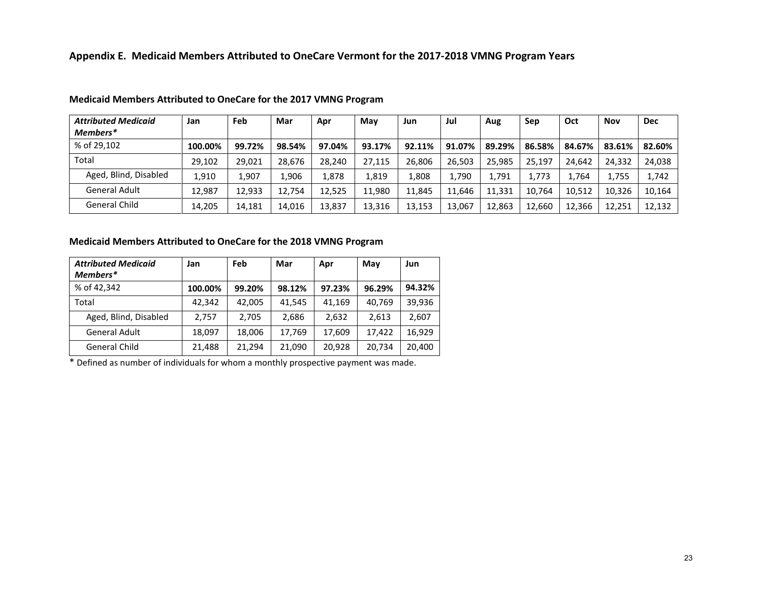| <b>Attributed Medicaid</b> | Jan     | Feb    | Mar    | Apr    | May    | Jun    | Jul    | Aug    | Sep    | Oct    | Nov    | <b>Dec</b> |
|----------------------------|---------|--------|--------|--------|--------|--------|--------|--------|--------|--------|--------|------------|
| Members*                   |         |        |        |        |        |        |        |        |        |        |        |            |
| % of 29.102                | 100.00% | 99.72% | 98.54% | 97.04% | 93.17% | 92.11% | 91.07% | 89.29% | 86.58% | 84.67% | 83.61% | 82.60%     |
| Total                      | 29,102  | 29.021 | 28.676 | 28,240 | 27.115 | 26,806 | 26.503 | 25,985 | 25,197 | 24.642 | 24,332 | 24,038     |
| Aged, Blind, Disabled      | 1,910   | 1,907  | 1,906  | 1,878  | 1,819  | 1,808  | 1,790  | 1,791  | 1,773  | 1.764  | 1,755  | 1,742      |
| General Adult              | 12.987  | 12.933 | 12.754 | 12.525 | 11.980 | 11.845 | 11.646 | 11.331 | 10.764 | 10.512 | 10.326 | 10.164     |
| <b>General Child</b>       | 14,205  | 14.181 | 14,016 | 13,837 | 13,316 | 13,153 | 13.067 | 12,863 | 12,660 | 12,366 | 12,251 | 12,132     |

#### **Medicaid Members Attributed to OneCare for the 2017 VMNG Program**

#### **Medicaid Members Attributed to OneCare for the 2018 VMNG Program**

| <b>Attributed Medicaid</b><br>Members* | Jan     | Feb    | Mar    | Apr    | May    | Jun    |
|----------------------------------------|---------|--------|--------|--------|--------|--------|
| % of 42,342                            | 100.00% | 99.20% | 98.12% | 97.23% | 96.29% | 94.32% |
| Total                                  | 42,342  | 42.005 | 41.545 | 41,169 | 40.769 | 39,936 |
| Aged, Blind, Disabled                  | 2.757   | 2,705  | 2,686  | 2,632  | 2,613  | 2,607  |
| <b>General Adult</b>                   | 18,097  | 18,006 | 17,769 | 17,609 | 17,422 | 16.929 |
| General Child                          | 21,488  | 21,294 | 21,090 | 20,928 | 20,734 | 20,400 |

\* Defined as number of individuals for whom a monthly prospective payment was made.